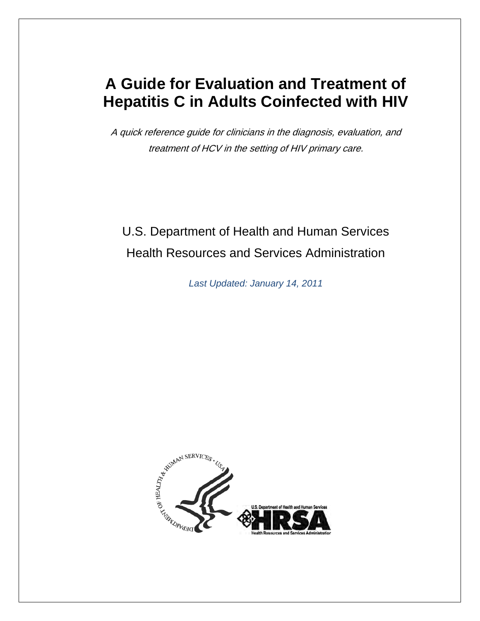### **A Guide for Evaluation and Treatment of Hepatitis C in Adults Coinfected with HIV**

A quick reference guide for clinicians in the diagnosis, evaluation, and treatment of HCV in the setting of HIV primary care.

### U.S. Department of Health and Human Services Health Resources and Services Administration

*Last Updated: January 14, 2011*

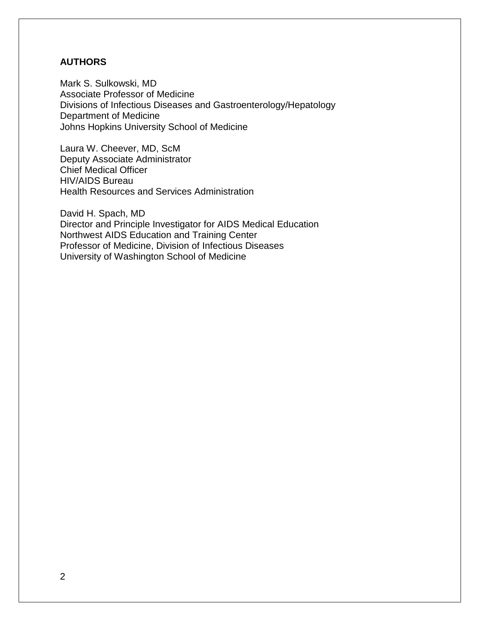#### **AUTHORS**

Mark S. Sulkowski, MD Associate Professor of Medicine Divisions of Infectious Diseases and Gastroenterology/Hepatology Department of Medicine Johns Hopkins University School of Medicine

Laura W. Cheever, MD, ScM Deputy Associate Administrator Chief Medical Officer HIV/AIDS Bureau Health Resources and Services Administration

David H. Spach, MD Director and Principle Investigator for AIDS Medical Education Northwest AIDS Education and Training Center Professor of Medicine, Division of Infectious Diseases University of Washington School of Medicine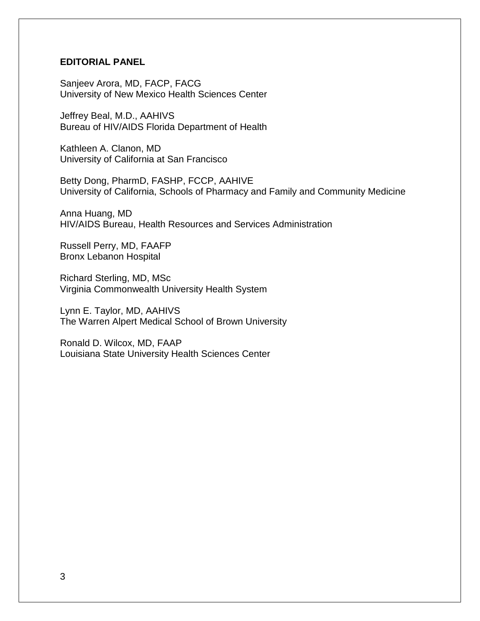#### **EDITORIAL PANEL**

Sanjeev Arora, MD, FACP, FACG University of New Mexico Health Sciences Center

Jeffrey Beal, M.D., AAHIVS Bureau of HIV/AIDS Florida Department of Health

Kathleen A. Clanon, MD University of California at San Francisco

Betty Dong, PharmD, FASHP, FCCP, AAHIVE University of California, Schools of Pharmacy and Family and Community Medicine

Anna Huang, MD HIV/AIDS Bureau, Health Resources and Services Administration

Russell Perry, MD, FAAFP Bronx Lebanon Hospital

Richard Sterling, MD, MSc Virginia Commonwealth University Health System

Lynn E. Taylor, MD, AAHIVS The Warren Alpert Medical School of Brown University

Ronald D. Wilcox, MD, FAAP Louisiana State University Health Sciences Center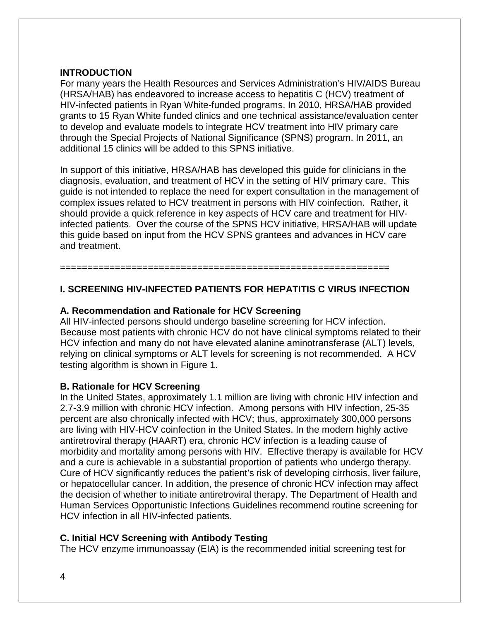#### **INTRODUCTION**

For many years the Health Resources and Services Administration's HIV/AIDS Bureau (HRSA/HAB) has endeavored to increase access to hepatitis C (HCV) treatment of HIV-infected patients in Ryan White-funded programs. In 2010, HRSA/HAB provided grants to 15 Ryan White funded clinics and one technical assistance/evaluation center to develop and evaluate models to integrate HCV treatment into HIV primary care through the Special Projects of National Significance (SPNS) program. In 2011, an additional 15 clinics will be added to this SPNS initiative.

In support of this initiative, HRSA/HAB has developed this guide for clinicians in the diagnosis, evaluation, and treatment of HCV in the setting of HIV primary care. This guide is not intended to replace the need for expert consultation in the management of complex issues related to HCV treatment in persons with HIV coinfection. Rather, it should provide a quick reference in key aspects of HCV care and treatment for HIVinfected patients. Over the course of the SPNS HCV initiative, HRSA/HAB will update this guide based on input from the HCV SPNS grantees and advances in HCV care and treatment.

#### **I. SCREENING HIV-INFECTED PATIENTS FOR HEPATITIS C VIRUS INFECTION**

============================================================

#### **A. Recommendation and Rationale for HCV Screening**

All HIV-infected persons should undergo baseline screening for HCV infection. Because most patients with chronic HCV do not have clinical symptoms related to their HCV infection and many do not have elevated alanine aminotransferase (ALT) levels, relying on clinical symptoms or ALT levels for screening is not recommended. A HCV testing algorithm is shown in Figure 1.

#### **B. Rationale for HCV Screening**

In the United States, approximately 1.1 million are living with chronic HIV infection and 2.7-3.9 million with chronic HCV infection. Among persons with HIV infection, 25-35 percent are also chronically infected with HCV; thus, approximately 300,000 persons are living with HIV-HCV coinfection in the United States. In the modern highly active antiretroviral therapy (HAART) era, chronic HCV infection is a leading cause of morbidity and mortality among persons with HIV. Effective therapy is available for HCV and a cure is achievable in a substantial proportion of patients who undergo therapy. Cure of HCV significantly reduces the patient's risk of developing cirrhosis, liver failure, or hepatocellular cancer. In addition, the presence of chronic HCV infection may affect the decision of whether to initiate antiretroviral therapy. The Department of Health and Human Services Opportunistic Infections Guidelines recommend routine screening for HCV infection in all HIV-infected patients.

#### **C. Initial HCV Screening with Antibody Testing**

The HCV enzyme immunoassay (EIA) is the recommended initial screening test for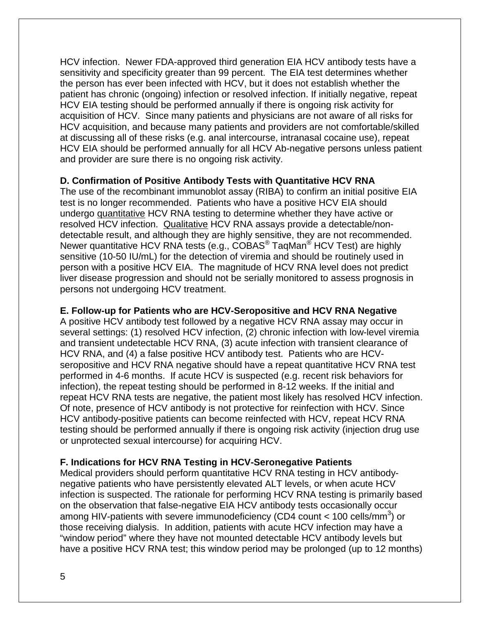HCV infection. Newer FDA-approved third generation EIA HCV antibody tests have a sensitivity and specificity greater than 99 percent. The EIA test determines whether the person has ever been infected with HCV, but it does not establish whether the patient has chronic (ongoing) infection or resolved infection. If initially negative, repeat HCV EIA testing should be performed annually if there is ongoing risk activity for acquisition of HCV. Since many patients and physicians are not aware of all risks for HCV acquisition, and because many patients and providers are not comfortable/skilled at discussing all of these risks (e.g. anal intercourse, intranasal cocaine use), repeat HCV EIA should be performed annually for all HCV Ab-negative persons unless patient and provider are sure there is no ongoing risk activity.

#### **D. Confirmation of Positive Antibody Tests with Quantitative HCV RNA**

The use of the recombinant immunoblot assay (RIBA) to confirm an initial positive EIA test is no longer recommended. Patients who have a positive HCV EIA should undergo quantitative HCV RNA testing to determine whether they have active or resolved HCV infection. Qualitative HCV RNA assays provide a detectable/nondetectable result, and although they are highly sensitive, they are not recommended. Newer quantitative HCV RNA tests (e.g., COBAS<sup>®</sup> TaqMan<sup>®</sup> HCV Test) are highly sensitive (10-50 IU/mL) for the detection of viremia and should be routinely used in person with a positive HCV EIA. The magnitude of HCV RNA level does not predict liver disease progression and should not be serially monitored to assess prognosis in persons not undergoing HCV treatment.

#### **E. Follow-up for Patients who are HCV-Seropositive and HCV RNA Negative**

A positive HCV antibody test followed by a negative HCV RNA assay may occur in several settings: (1) resolved HCV infection, (2) chronic infection with low-level viremia and transient undetectable HCV RNA, (3) acute infection with transient clearance of HCV RNA, and (4) a false positive HCV antibody test. Patients who are HCVseropositive and HCV RNA negative should have a repeat quantitative HCV RNA test performed in 4-6 months. If acute HCV is suspected (e.g. recent risk behaviors for infection), the repeat testing should be performed in 8-12 weeks. If the initial and repeat HCV RNA tests are negative, the patient most likely has resolved HCV infection. Of note, presence of HCV antibody is not protective for reinfection with HCV. Since HCV antibody-positive patients can become reinfected with HCV, repeat HCV RNA testing should be performed annually if there is ongoing risk activity (injection drug use or unprotected sexual intercourse) for acquiring HCV.

#### **F. Indications for HCV RNA Testing in HCV-Seronegative Patients**

Medical providers should perform quantitative HCV RNA testing in HCV antibodynegative patients who have persistently elevated ALT levels, or when acute HCV infection is suspected. The rationale for performing HCV RNA testing is primarily based on the observation that false-negative EIA HCV antibody tests occasionally occur among HIV-patients with severe immunodeficiency (CD4 count < 100 cells/mm<sup>3</sup>) or those receiving dialysis. In addition, patients with acute HCV infection may have a "window period" where they have not mounted detectable HCV antibody levels but have a positive HCV RNA test; this window period may be prolonged (up to 12 months)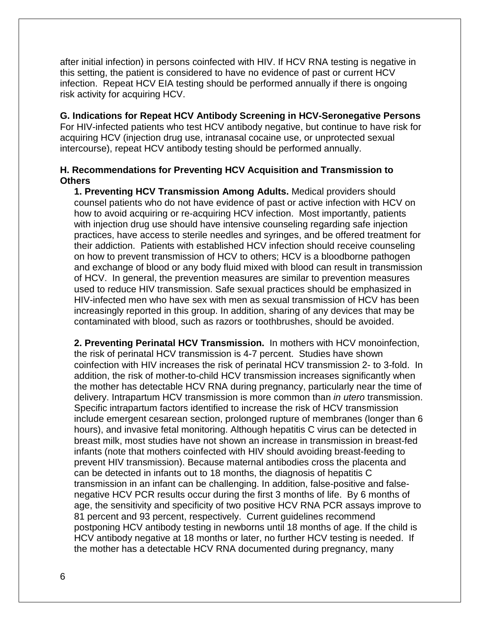after initial infection) in persons coinfected with HIV. If HCV RNA testing is negative in this setting, the patient is considered to have no evidence of past or current HCV infection. Repeat HCV EIA testing should be performed annually if there is ongoing risk activity for acquiring HCV.

#### **G. Indications for Repeat HCV Antibody Screening in HCV-Seronegative Persons**

For HIV-infected patients who test HCV antibody negative, but continue to have risk for acquiring HCV (injection drug use, intranasal cocaine use, or unprotected sexual intercourse), repeat HCV antibody testing should be performed annually.

#### **H. Recommendations for Preventing HCV Acquisition and Transmission to Others**

**1. Preventing HCV Transmission Among Adults.** Medical providers should counsel patients who do not have evidence of past or active infection with HCV on how to avoid acquiring or re-acquiring HCV infection. Most importantly, patients with injection drug use should have intensive counseling regarding safe injection practices, have access to sterile needles and syringes, and be offered treatment for their addiction. Patients with established HCV infection should receive counseling on how to prevent transmission of HCV to others; HCV is a bloodborne pathogen and exchange of blood or any body fluid mixed with blood can result in transmission of HCV. In general, the prevention measures are similar to prevention measures used to reduce HIV transmission. Safe sexual practices should be emphasized in HIV-infected men who have sex with men as sexual transmission of HCV has been increasingly reported in this group. In addition, sharing of any devices that may be contaminated with blood, such as razors or toothbrushes, should be avoided.

**2. Preventing Perinatal HCV Transmission.** In mothers with HCV monoinfection, the risk of perinatal HCV transmission is 4-7 percent. Studies have shown coinfection with HIV increases the risk of perinatal HCV transmission 2- to 3-fold. In addition, the risk of mother-to-child HCV transmission increases significantly when the mother has detectable HCV RNA during pregnancy, particularly near the time of delivery. Intrapartum HCV transmission is more common than *in utero* transmission. Specific intrapartum factors identified to increase the risk of HCV transmission include emergent cesarean section, prolonged rupture of membranes (longer than 6 hours), and invasive fetal monitoring. Although hepatitis C virus can be detected in breast milk, most studies have not shown an increase in transmission in breast-fed infants (note that mothers coinfected with HIV should avoiding breast-feeding to prevent HIV transmission). Because maternal antibodies cross the placenta and can be detected in infants out to 18 months, the diagnosis of hepatitis C transmission in an infant can be challenging. In addition, false-positive and falsenegative HCV PCR results occur during the first 3 months of life. By 6 months of age, the sensitivity and specificity of two positive HCV RNA PCR assays improve to 81 percent and 93 percent, respectively. Current guidelines recommend postponing HCV antibody testing in newborns until 18 months of age. If the child is HCV antibody negative at 18 months or later, no further HCV testing is needed. If the mother has a detectable HCV RNA documented during pregnancy, many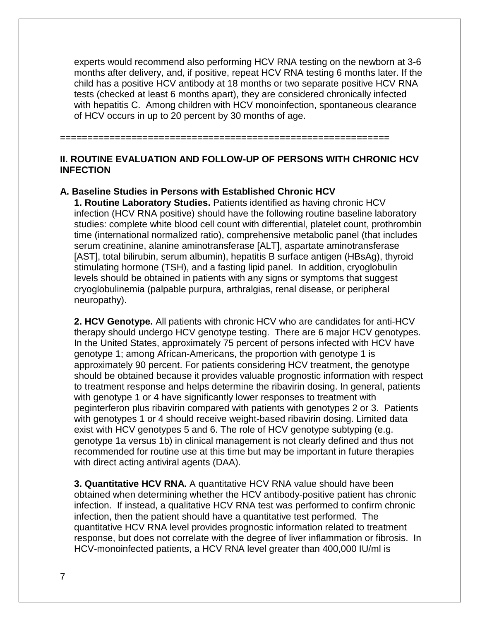experts would recommend also performing HCV RNA testing on the newborn at 3-6 months after delivery, and, if positive, repeat HCV RNA testing 6 months later. If the child has a positive HCV antibody at 18 months or two separate positive HCV RNA tests (checked at least 6 months apart), they are considered chronically infected with hepatitis C. Among children with HCV monoinfection, spontaneous clearance of HCV occurs in up to 20 percent by 30 months of age.

============================================================

#### **II. ROUTINE EVALUATION AND FOLLOW-UP OF PERSONS WITH CHRONIC HCV INFECTION**

#### **A. Baseline Studies in Persons with Established Chronic HCV**

**1. Routine Laboratory Studies.** Patients identified as having chronic HCV infection (HCV RNA positive) should have the following routine baseline laboratory studies: complete white blood cell count with differential, platelet count, prothrombin time (international normalized ratio), comprehensive metabolic panel (that includes serum creatinine, alanine aminotransferase [ALT], aspartate aminotransferase [AST], total bilirubin, serum albumin), hepatitis B surface antigen (HBsAg), thyroid stimulating hormone (TSH), and a fasting lipid panel. In addition, cryoglobulin levels should be obtained in patients with any signs or symptoms that suggest cryoglobulinemia (palpable purpura, arthralgias, renal disease, or peripheral neuropathy).

**2. HCV Genotype.** All patients with chronic HCV who are candidates for anti-HCV therapy should undergo HCV genotype testing. There are 6 major HCV genotypes. In the United States, approximately 75 percent of persons infected with HCV have genotype 1; among African-Americans, the proportion with genotype 1 is approximately 90 percent. For patients considering HCV treatment, the genotype should be obtained because it provides valuable prognostic information with respect to treatment response and helps determine the ribavirin dosing. In general, patients with genotype 1 or 4 have significantly lower responses to treatment with peginterferon plus ribavirin compared with patients with genotypes 2 or 3. Patients with genotypes 1 or 4 should receive weight-based ribavirin dosing. Limited data exist with HCV genotypes 5 and 6. The role of HCV genotype subtyping (e.g. genotype 1a versus 1b) in clinical management is not clearly defined and thus not recommended for routine use at this time but may be important in future therapies with direct acting antiviral agents (DAA).

**3. Quantitative HCV RNA.** A quantitative HCV RNA value should have been obtained when determining whether the HCV antibody-positive patient has chronic infection. If instead, a qualitative HCV RNA test was performed to confirm chronic infection, then the patient should have a quantitative test performed. The quantitative HCV RNA level provides prognostic information related to treatment response, but does not correlate with the degree of liver inflammation or fibrosis. In HCV-monoinfected patients, a HCV RNA level greater than 400,000 IU/ml is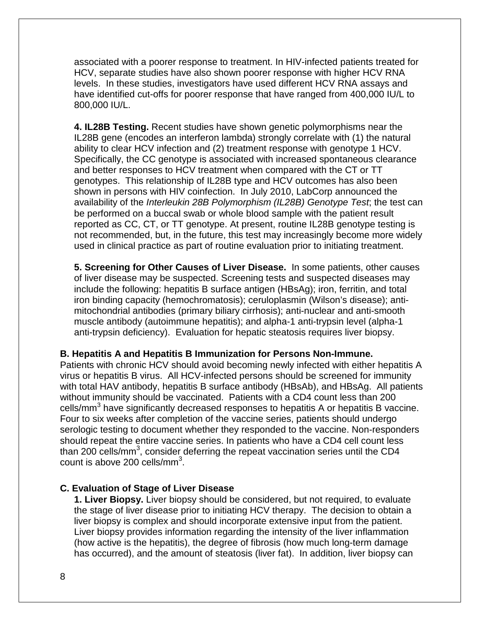associated with a poorer response to treatment. In HIV-infected patients treated for HCV, separate studies have also shown poorer response with higher HCV RNA levels. In these studies, investigators have used different HCV RNA assays and have identified cut-offs for poorer response that have ranged from 400,000 IU/L to 800,000 IU/L.

**4. IL28B Testing.** Recent studies have shown genetic polymorphisms near the IL28B gene (encodes an interferon lambda) strongly correlate with (1) the natural ability to clear HCV infection and (2) treatment response with genotype 1 HCV. Specifically, the CC genotype is associated with increased spontaneous clearance and better responses to HCV treatment when compared with the CT or TT genotypes. This relationship of IL28B type and HCV outcomes has also been shown in persons with HIV coinfection. In July 2010, LabCorp announced the availability of the *Interleukin 28B Polymorphism (IL28B) Genotype Test*; the test can be performed on a buccal swab or whole blood sample with the patient result reported as CC, CT, or TT genotype. At present, routine IL28B genotype testing is not recommended, but, in the future, this test may increasingly become more widely used in clinical practice as part of routine evaluation prior to initiating treatment.

**5. Screening for Other Causes of Liver Disease.** In some patients, other causes of liver disease may be suspected. Screening tests and suspected diseases may include the following: hepatitis B surface antigen (HBsAg); iron, ferritin, and total iron binding capacity (hemochromatosis); ceruloplasmin (Wilson's disease); antimitochondrial antibodies (primary biliary cirrhosis); anti-nuclear and anti-smooth muscle antibody (autoimmune hepatitis); and alpha-1 anti-trypsin level (alpha-1 anti-trypsin deficiency). Evaluation for hepatic steatosis requires liver biopsy.

#### **B. Hepatitis A and Hepatitis B Immunization for Persons Non-Immune.**

Patients with chronic HCV should avoid becoming newly infected with either hepatitis A virus or hepatitis B virus. All HCV-infected persons should be screened for immunity with total HAV antibody, hepatitis B surface antibody (HBsAb), and HBsAg. All patients without immunity should be vaccinated. Patients with a CD4 count less than 200 cells/mm<sup>3</sup> have significantly decreased responses to hepatitis A or hepatitis B vaccine. Four to six weeks after completion of the vaccine series, patients should undergo serologic testing to document whether they responded to the vaccine. Non-responders should repeat the entire vaccine series. In patients who have a CD4 cell count less than 200 cells/mm<sup>3</sup>, consider deferring the repeat vaccination series until the CD4 count is above 200 cells/mm $^3$ .

#### **C. Evaluation of Stage of Liver Disease**

**1. Liver Biopsy.** Liver biopsy should be considered, but not required, to evaluate the stage of liver disease prior to initiating HCV therapy. The decision to obtain a liver biopsy is complex and should incorporate extensive input from the patient. Liver biopsy provides information regarding the intensity of the liver inflammation (how active is the hepatitis), the degree of fibrosis (how much long-term damage has occurred), and the amount of steatosis (liver fat). In addition, liver biopsy can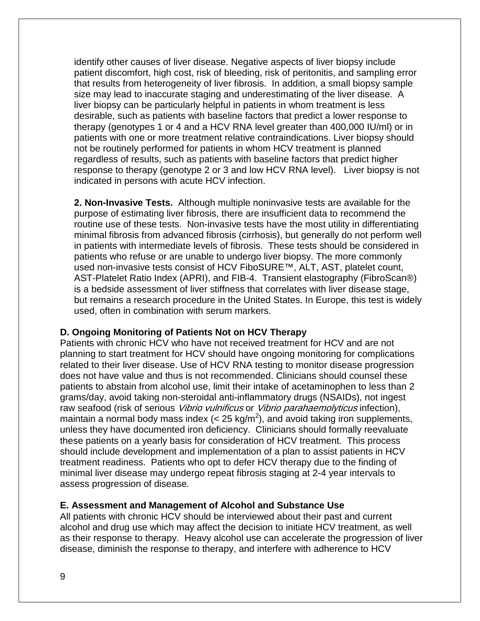identify other causes of liver disease. Negative aspects of liver biopsy include patient discomfort, high cost, risk of bleeding, risk of peritonitis, and sampling error that results from heterogeneity of liver fibrosis. In addition, a small biopsy sample size may lead to inaccurate staging and underestimating of the liver disease. A liver biopsy can be particularly helpful in patients in whom treatment is less desirable, such as patients with baseline factors that predict a lower response to therapy (genotypes 1 or 4 and a HCV RNA level greater than 400,000 IU/ml) or in patients with one or more treatment relative contraindications. Liver biopsy should not be routinely performed for patients in whom HCV treatment is planned regardless of results, such as patients with baseline factors that predict higher response to therapy (genotype 2 or 3 and low HCV RNA level). Liver biopsy is not indicated in persons with acute HCV infection.

**2. Non-Invasive Tests.** Although multiple noninvasive tests are available for the purpose of estimating liver fibrosis, there are insufficient data to recommend the routine use of these tests. Non-invasive tests have the most utility in differentiating minimal fibrosis from advanced fibrosis (cirrhosis), but generally do not perform well in patients with intermediate levels of fibrosis. These tests should be considered in patients who refuse or are unable to undergo liver biopsy. The more commonly used non-invasive tests consist of HCV FiboSURE™, ALT, AST, platelet count, AST-Platelet Ratio Index (APRI), and FIB-4. Transient elastography (FibroScan®) is a bedside assessment of liver stiffness that correlates with liver disease stage, but remains a research procedure in the United States. In Europe, this test is widely used, often in combination with serum markers.

#### **D. Ongoing Monitoring of Patients Not on HCV Therapy**

Patients with chronic HCV who have not received treatment for HCV and are not planning to start treatment for HCV should have ongoing monitoring for complications related to their liver disease. Use of HCV RNA testing to monitor disease progression does not have value and thus is not recommended. Clinicians should counsel these patients to abstain from alcohol use, limit their intake of acetaminophen to less than 2 grams/day, avoid taking non-steroidal anti-inflammatory drugs (NSAIDs), not ingest raw seafood (risk of serious Vibrio vulnificus or Vibrio parahaemolyticus infection), maintain a normal body mass index (< 25 kg/m<sup>2</sup>), and avoid taking iron supplements, unless they have documented iron deficiency. Clinicians should formally reevaluate these patients on a yearly basis for consideration of HCV treatment. This process should include development and implementation of a plan to assist patients in HCV treatment readiness. Patients who opt to defer HCV therapy due to the finding of minimal liver disease may undergo repeat fibrosis staging at 2-4 year intervals to assess progression of disease.

#### **E. Assessment and Management of Alcohol and Substance Use**

All patients with chronic HCV should be interviewed about their past and current alcohol and drug use which may affect the decision to initiate HCV treatment, as well as their response to therapy. Heavy alcohol use can accelerate the progression of liver disease, diminish the response to therapy, and interfere with adherence to HCV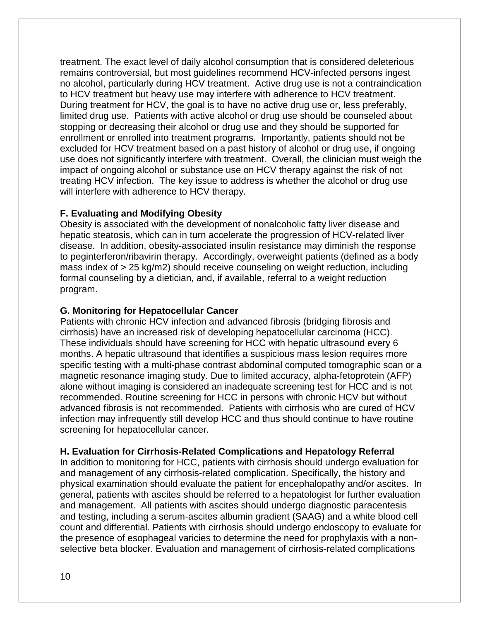treatment. The exact level of daily alcohol consumption that is considered deleterious remains controversial, but most guidelines recommend HCV-infected persons ingest no alcohol, particularly during HCV treatment. Active drug use is not a contraindication to HCV treatment but heavy use may interfere with adherence to HCV treatment. During treatment for HCV, the goal is to have no active drug use or, less preferably, limited drug use. Patients with active alcohol or drug use should be counseled about stopping or decreasing their alcohol or drug use and they should be supported for enrollment or enrolled into treatment programs. Importantly, patients should not be excluded for HCV treatment based on a past history of alcohol or drug use, if ongoing use does not significantly interfere with treatment. Overall, the clinician must weigh the impact of ongoing alcohol or substance use on HCV therapy against the risk of not treating HCV infection. The key issue to address is whether the alcohol or drug use will interfere with adherence to HCV therapy.

#### **F. Evaluating and Modifying Obesity**

Obesity is associated with the development of nonalcoholic fatty liver disease and hepatic steatosis, which can in turn accelerate the progression of HCV-related liver disease. In addition, obesity-associated insulin resistance may diminish the response to peginterferon/ribavirin therapy. Accordingly, overweight patients (defined as a body mass index of > 25 kg/m2) should receive counseling on weight reduction, including formal counseling by a dietician, and, if available, referral to a weight reduction program.

#### **G. Monitoring for Hepatocellular Cancer**

Patients with chronic HCV infection and advanced fibrosis (bridging fibrosis and cirrhosis) have an increased risk of developing hepatocellular carcinoma (HCC). These individuals should have screening for HCC with hepatic ultrasound every 6 months. A hepatic ultrasound that identifies a suspicious mass lesion requires more specific testing with a multi-phase contrast abdominal computed tomographic scan or a magnetic resonance imaging study. Due to limited accuracy, alpha-fetoprotein (AFP) alone without imaging is considered an inadequate screening test for HCC and is not recommended. Routine screening for HCC in persons with chronic HCV but without advanced fibrosis is not recommended. Patients with cirrhosis who are cured of HCV infection may infrequently still develop HCC and thus should continue to have routine screening for hepatocellular cancer.

#### **H. Evaluation for Cirrhosis-Related Complications and Hepatology Referral**

In addition to monitoring for HCC, patients with cirrhosis should undergo evaluation for and management of any cirrhosis-related complication. Specifically, the history and physical examination should evaluate the patient for encephalopathy and/or ascites. In general, patients with ascites should be referred to a hepatologist for further evaluation and management. All patients with ascites should undergo diagnostic paracentesis and testing, including a serum-ascites albumin gradient (SAAG) and a white blood cell count and differential. Patients with cirrhosis should undergo endoscopy to evaluate for the presence of esophageal varicies to determine the need for prophylaxis with a nonselective beta blocker. Evaluation and management of cirrhosis-related complications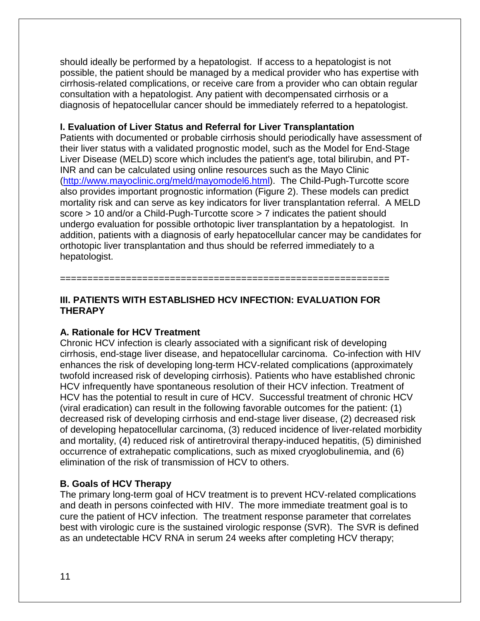should ideally be performed by a hepatologist. If access to a hepatologist is not possible, the patient should be managed by a medical provider who has expertise with cirrhosis-related complications, or receive care from a provider who can obtain regular consultation with a hepatologist. Any patient with decompensated cirrhosis or a diagnosis of hepatocellular cancer should be immediately referred to a hepatologist.

#### **I. Evaluation of Liver Status and Referral for Liver Transplantation**

Patients with documented or probable cirrhosis should periodically have assessment of their liver status with a validated prognostic model, such as the Model for End-Stage Liver Disease (MELD) score which includes the patient's age, total bilirubin, and PT-INR and can be calculated using online resources such as the Mayo Clinic [\(http://www.mayoclinic.org/meld/mayomodel6.html\)](http://www.mayoclinic.org/meld/mayomodel6.html). The Child-Pugh-Turcotte score also provides important prognostic information (Figure 2). These models can predict mortality risk and can serve as key indicators for liver transplantation referral. A MELD score > 10 and/or a Child-Pugh-Turcotte score > 7 indicates the patient should undergo evaluation for possible orthotopic liver transplantation by a hepatologist. In addition, patients with a diagnosis of early hepatocellular cancer may be candidates for orthotopic liver transplantation and thus should be referred immediately to a hepatologist.

#### **III. PATIENTS WITH ESTABLISHED HCV INFECTION: EVALUATION FOR THERAPY**

============================================================

#### **A. Rationale for HCV Treatment**

Chronic HCV infection is clearly associated with a significant risk of developing cirrhosis, end-stage liver disease, and hepatocellular carcinoma. Co-infection with HIV enhances the risk of developing long-term HCV-related complications (approximately twofold increased risk of developing cirrhosis). Patients who have established chronic HCV infrequently have spontaneous resolution of their HCV infection. Treatment of HCV has the potential to result in cure of HCV. Successful treatment of chronic HCV (viral eradication) can result in the following favorable outcomes for the patient: (1) decreased risk of developing cirrhosis and end-stage liver disease, (2) decreased risk of developing hepatocellular carcinoma, (3) reduced incidence of liver-related morbidity and mortality, (4) reduced risk of antiretroviral therapy-induced hepatitis, (5) diminished occurrence of extrahepatic complications, such as mixed cryoglobulinemia, and (6) elimination of the risk of transmission of HCV to others.

#### **B. Goals of HCV Therapy**

The primary long-term goal of HCV treatment is to prevent HCV-related complications and death in persons coinfected with HIV. The more immediate treatment goal is to cure the patient of HCV infection. The treatment response parameter that correlates best with virologic cure is the sustained virologic response (SVR). The SVR is defined as an undetectable HCV RNA in serum 24 weeks after completing HCV therapy;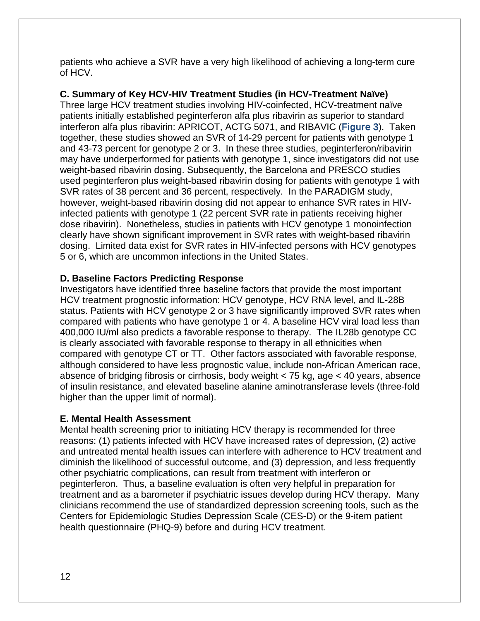patients who achieve a SVR have a very high likelihood of achieving a long-term cure of HCV.

#### **C. Summary of Key HCV-HIV Treatment Studies (in HCV-Treatment Naïve)**

Three large HCV treatment studies involving HIV-coinfected, HCV-treatment naïve patients initially established peginterferon alfa plus ribavirin as superior to standard interferon alfa plus ribavirin: APRICOT, ACTG 5071, and RIBAVIC (Figure 3). Taken together, these studies showed an SVR of 14-29 percent for patients with genotype 1 and 43-73 percent for genotype 2 or 3. In these three studies, peginterferon/ribavirin may have underperformed for patients with genotype 1, since investigators did not use weight-based ribavirin dosing. Subsequently, the Barcelona and PRESCO studies used peginterferon plus weight-based ribavirin dosing for patients with genotype 1 with SVR rates of 38 percent and 36 percent, respectively. In the PARADIGM study, however, weight-based ribavirin dosing did not appear to enhance SVR rates in HIVinfected patients with genotype 1 (22 percent SVR rate in patients receiving higher dose ribavirin). Nonetheless, studies in patients with HCV genotype 1 monoinfection clearly have shown significant improvement in SVR rates with weight-based ribavirin dosing. Limited data exist for SVR rates in HIV-infected persons with HCV genotypes 5 or 6, which are uncommon infections in the United States.

#### **D. Baseline Factors Predicting Response**

Investigators have identified three baseline factors that provide the most important HCV treatment prognostic information: HCV genotype, HCV RNA level, and IL-28B status. Patients with HCV genotype 2 or 3 have significantly improved SVR rates when compared with patients who have genotype 1 or 4. A baseline HCV viral load less than 400,000 IU/ml also predicts a favorable response to therapy. The IL28b genotype CC is clearly associated with favorable response to therapy in all ethnicities when compared with genotype CT or TT. Other factors associated with favorable response, although considered to have less prognostic value, include non-African American race, absence of bridging fibrosis or cirrhosis, body weight < 75 kg, age < 40 years, absence of insulin resistance, and elevated baseline alanine aminotransferase levels (three-fold higher than the upper limit of normal).

#### **E. Mental Health Assessment**

Mental health screening prior to initiating HCV therapy is recommended for three reasons: (1) patients infected with HCV have increased rates of depression, (2) active and untreated mental health issues can interfere with adherence to HCV treatment and diminish the likelihood of successful outcome, and (3) depression, and less frequently other psychiatric complications, can result from treatment with interferon or peginterferon. Thus, a baseline evaluation is often very helpful in preparation for treatment and as a barometer if psychiatric issues develop during HCV therapy. Many clinicians recommend the use of standardized depression screening tools, such as the Centers for Epidemiologic Studies Depression Scale (CES-D) or the 9-item patient health questionnaire (PHQ-9) before and during HCV treatment.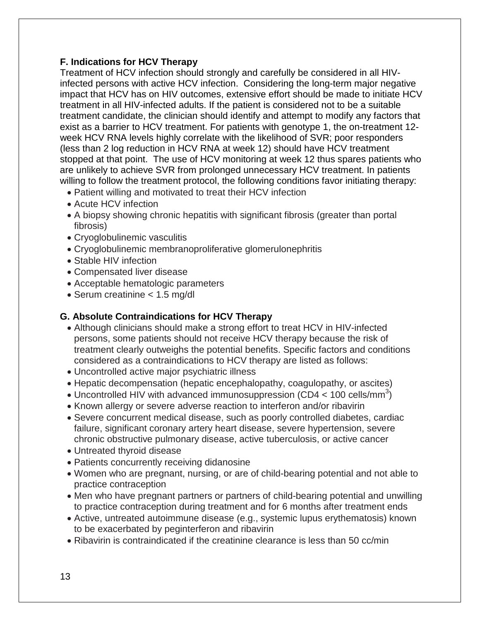#### **F. Indications for HCV Therapy**

Treatment of HCV infection should strongly and carefully be considered in all HIVinfected persons with active HCV infection. Considering the long-term major negative impact that HCV has on HIV outcomes, extensive effort should be made to initiate HCV treatment in all HIV-infected adults. If the patient is considered not to be a suitable treatment candidate, the clinician should identify and attempt to modify any factors that exist as a barrier to HCV treatment. For patients with genotype 1, the on-treatment 12 week HCV RNA levels highly correlate with the likelihood of SVR; poor responders (less than 2 log reduction in HCV RNA at week 12) should have HCV treatment stopped at that point. The use of HCV monitoring at week 12 thus spares patients who are unlikely to achieve SVR from prolonged unnecessary HCV treatment. In patients willing to follow the treatment protocol, the following conditions favor initiating therapy:

- Patient willing and motivated to treat their HCV infection
- Acute HCV infection
- A biopsy showing chronic hepatitis with significant fibrosis (greater than portal fibrosis)
- Cryoglobulinemic vasculitis
- Cryoglobulinemic membranoproliferative glomerulonephritis
- Stable HIV infection
- Compensated liver disease
- Acceptable hematologic parameters
- Serum creatinine < 1.5 mg/dl

#### **G. Absolute Contraindications for HCV Therapy**

- Although clinicians should make a strong effort to treat HCV in HIV-infected persons, some patients should not receive HCV therapy because the risk of treatment clearly outweighs the potential benefits. Specific factors and conditions considered as a contraindications to HCV therapy are listed as follows:
- Uncontrolled active major psychiatric illness
- Hepatic decompensation (hepatic encephalopathy, coagulopathy, or ascites)
- Uncontrolled HIV with advanced immunosuppression (CD4  $<$  100 cells/mm<sup>3</sup>)
- Known allergy or severe adverse reaction to interferon and/or ribavirin
- Severe concurrent medical disease, such as poorly controlled diabetes, cardiac failure, significant coronary artery heart disease, severe hypertension, severe chronic obstructive pulmonary disease, active tuberculosis, or active cancer
- Untreated thyroid disease
- Patients concurrently receiving didanosine
- Women who are pregnant, nursing, or are of child-bearing potential and not able to practice contraception
- Men who have pregnant partners or partners of child-bearing potential and unwilling to practice contraception during treatment and for 6 months after treatment ends
- Active, untreated autoimmune disease (e.g., systemic lupus erythematosis) known to be exacerbated by peginterferon and ribavirin
- Ribavirin is contraindicated if the creatinine clearance is less than 50 cc/min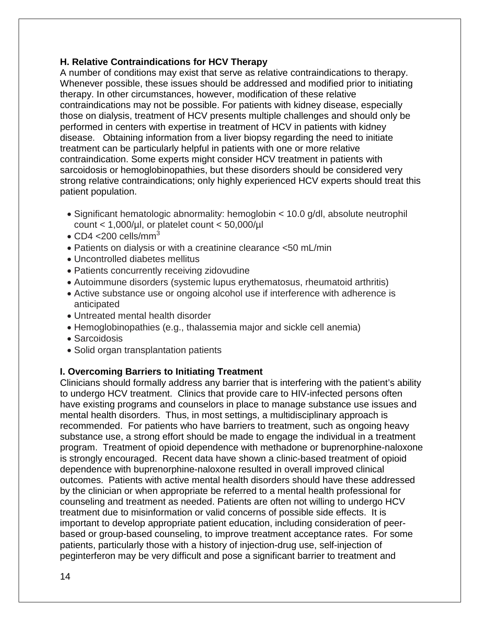#### **H. Relative Contraindications for HCV Therapy**

A number of conditions may exist that serve as relative contraindications to therapy. Whenever possible, these issues should be addressed and modified prior to initiating therapy. In other circumstances, however, modification of these relative contraindications may not be possible. For patients with kidney disease, especially those on dialysis, treatment of HCV presents multiple challenges and should only be performed in centers with expertise in treatment of HCV in patients with kidney disease. Obtaining information from a liver biopsy regarding the need to initiate treatment can be particularly helpful in patients with one or more relative contraindication. Some experts might consider HCV treatment in patients with sarcoidosis or hemoglobinopathies, but these disorders should be considered very strong relative contraindications; only highly experienced HCV experts should treat this patient population.

- Significant hematologic abnormality: hemoglobin < 10.0 g/dl, absolute neutrophil count  $<$  1,000/µl, or platelet count  $<$  50,000/µl
- CD4  $<$ 200 cells/mm<sup>3</sup>
- Patients on dialysis or with a creatinine clearance <50 mL/min
- Uncontrolled diabetes mellitus
- Patients concurrently receiving zidovudine
- Autoimmune disorders (systemic lupus erythematosus, rheumatoid arthritis)
- Active substance use or ongoing alcohol use if interference with adherence is anticipated
- Untreated mental health disorder
- Hemoglobinopathies (e.g., thalassemia major and sickle cell anemia)
- Sarcoidosis
- Solid organ transplantation patients

#### **I. Overcoming Barriers to Initiating Treatment**

Clinicians should formally address any barrier that is interfering with the patient's ability to undergo HCV treatment. Clinics that provide care to HIV-infected persons often have existing programs and counselors in place to manage substance use issues and mental health disorders. Thus, in most settings, a multidisciplinary approach is recommended. For patients who have barriers to treatment, such as ongoing heavy substance use, a strong effort should be made to engage the individual in a treatment program. Treatment of opioid dependence with methadone or buprenorphine-naloxone is strongly encouraged. Recent data have shown a clinic-based treatment of opioid dependence with buprenorphine-naloxone resulted in overall improved clinical outcomes. Patients with active mental health disorders should have these addressed by the clinician or when appropriate be referred to a mental health professional for counseling and treatment as needed. Patients are often not willing to undergo HCV treatment due to misinformation or valid concerns of possible side effects. It is important to develop appropriate patient education, including consideration of peerbased or group-based counseling, to improve treatment acceptance rates. For some patients, particularly those with a history of injection-drug use, self-injection of peginterferon may be very difficult and pose a significant barrier to treatment and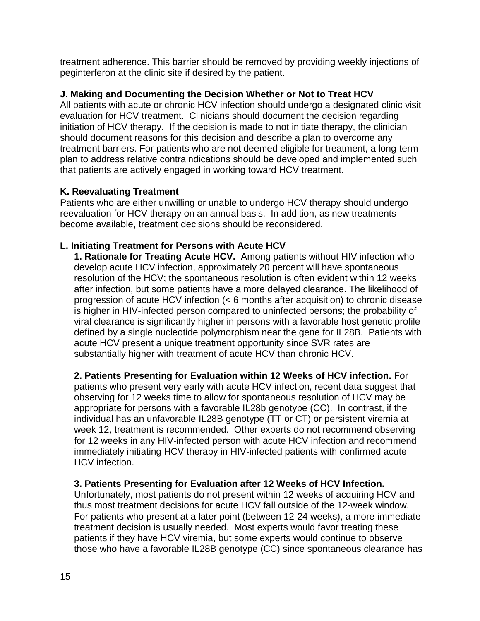treatment adherence. This barrier should be removed by providing weekly injections of peginterferon at the clinic site if desired by the patient.

#### **J. Making and Documenting the Decision Whether or Not to Treat HCV**

All patients with acute or chronic HCV infection should undergo a designated clinic visit evaluation for HCV treatment. Clinicians should document the decision regarding initiation of HCV therapy. If the decision is made to not initiate therapy, the clinician should document reasons for this decision and describe a plan to overcome any treatment barriers. For patients who are not deemed eligible for treatment, a long-term plan to address relative contraindications should be developed and implemented such that patients are actively engaged in working toward HCV treatment.

#### **K. Reevaluating Treatment**

Patients who are either unwilling or unable to undergo HCV therapy should undergo reevaluation for HCV therapy on an annual basis. In addition, as new treatments become available, treatment decisions should be reconsidered.

#### **L. Initiating Treatment for Persons with Acute HCV**

**1. Rationale for Treating Acute HCV.** Among patients without HIV infection who develop acute HCV infection, approximately 20 percent will have spontaneous resolution of the HCV; the spontaneous resolution is often evident within 12 weeks after infection, but some patients have a more delayed clearance. The likelihood of progression of acute HCV infection (< 6 months after acquisition) to chronic disease is higher in HIV-infected person compared to uninfected persons; the probability of viral clearance is significantly higher in persons with a favorable host genetic profile defined by a single nucleotide polymorphism near the gene for IL28B. Patients with acute HCV present a unique treatment opportunity since SVR rates are substantially higher with treatment of acute HCV than chronic HCV.

**2. Patients Presenting for Evaluation within 12 Weeks of HCV infection.** For patients who present very early with acute HCV infection, recent data suggest that observing for 12 weeks time to allow for spontaneous resolution of HCV may be appropriate for persons with a favorable IL28b genotype (CC). In contrast, if the individual has an unfavorable IL28B genotype (TT or CT) or persistent viremia at week 12, treatment is recommended. Other experts do not recommend observing for 12 weeks in any HIV-infected person with acute HCV infection and recommend immediately initiating HCV therapy in HIV-infected patients with confirmed acute HCV infection.

#### **3. Patients Presenting for Evaluation after 12 Weeks of HCV Infection.**

Unfortunately, most patients do not present within 12 weeks of acquiring HCV and thus most treatment decisions for acute HCV fall outside of the 12-week window. For patients who present at a later point (between 12-24 weeks), a more immediate treatment decision is usually needed. Most experts would favor treating these patients if they have HCV viremia, but some experts would continue to observe those who have a favorable IL28B genotype (CC) since spontaneous clearance has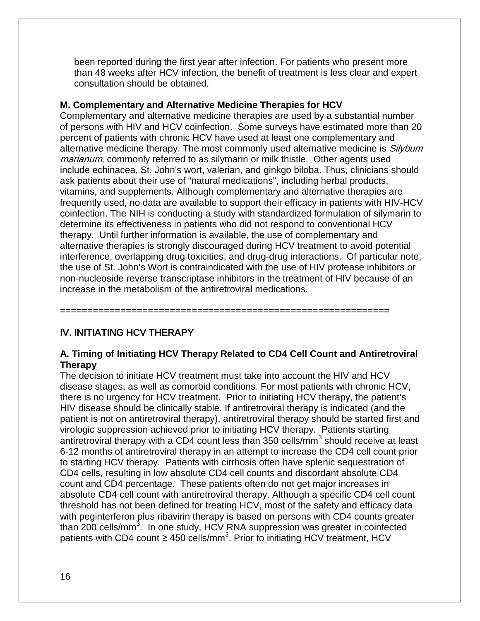been reported during the first year after infection. For patients who present more than 48 weeks after HCV infection, the benefit of treatment is less clear and expert consultation should be obtained.

#### **M. Complementary and Alternative Medicine Therapies for HCV**

Complementary and alternative medicine therapies are used by a substantial number of persons with HIV and HCV coinfection. Some surveys have estimated more than 20 percent of patients with chronic HCV have used at least one complementary and alternative medicine therapy. The most commonly used alternative medicine is Silybum marianum, commonly referred to as silymarin or milk thistle. Other agents used include echinacea, St. John's wort, valerian, and ginkgo biloba. Thus, clinicians should ask patients about their use of "natural medications", including herbal products, vitamins, and supplements. Although complementary and alternative therapies are frequently used, no data are available to support their efficacy in patients with HIV-HCV coinfection. The NIH is conducting a study with standardized formulation of silymarin to determine its effectiveness in patients who did not respond to conventional HCV therapy. Until further information is available, the use of complementary and alternative therapies is strongly discouraged during HCV treatment to avoid potential interference, overlapping drug toxicities, and drug-drug interactions. Of particular note, the use of St. John's Wort is contraindicated with the use of HIV protease inhibitors or non-nucleoside reverse transcriptase inhibitors in the treatment of HIV because of an increase in the metabolism of the antiretroviral medications.

#### IV. INITIATING HCV THERAPY

#### **A. Timing of Initiating HCV Therapy Related to CD4 Cell Count and Antiretroviral Therapy**

============================================================

The decision to initiate HCV treatment must take into account the HIV and HCV disease stages, as well as comorbid conditions. For most patients with chronic HCV, there is no urgency for HCV treatment. Prior to initiating HCV therapy, the patient's HIV disease should be clinically stable. If antiretroviral therapy is indicated (and the patient is not on antiretroviral therapy), antiretroviral therapy should be started first and virologic suppression achieved prior to initiating HCV therapy. Patients starting antiretroviral therapy with a CD4 count less than 350 cells/mm<sup>3</sup> should receive at least 6-12 months of antiretroviral therapy in an attempt to increase the CD4 cell count prior to starting HCV therapy. Patients with cirrhosis often have splenic sequestration of CD4 cells, resulting in low absolute CD4 cell counts and discordant absolute CD4 count and CD4 percentage. These patients often do not get major increases in absolute CD4 cell count with antiretroviral therapy. Although a specific CD4 cell count threshold has not been defined for treating HCV, most of the safety and efficacy data with peginterferon plus ribavirin therapy is based on persons with CD4 counts greater than 200 cells/mm<sup>3</sup>. In one study, HCV RNA suppression was greater in coinfected patients with CD4 count ≥ 450 cells/mm<sup>3</sup>. Prior to initiating HCV treatment, HCV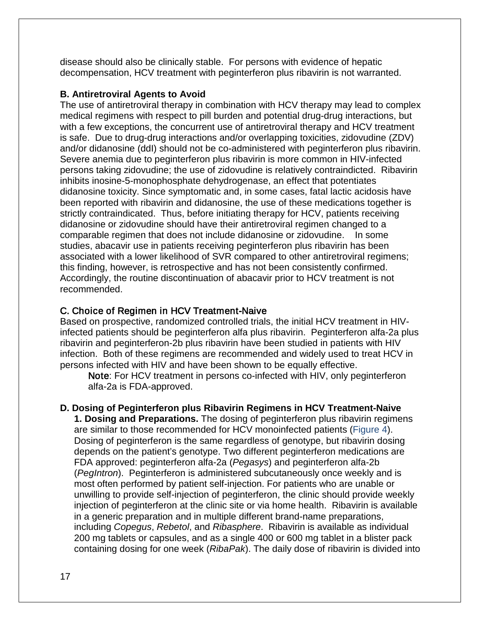disease should also be clinically stable. For persons with evidence of hepatic decompensation, HCV treatment with peginterferon plus ribavirin is not warranted.

#### **B. Antiretroviral Agents to Avoid**

The use of antiretroviral therapy in combination with HCV therapy may lead to complex medical regimens with respect to pill burden and potential drug-drug interactions, but with a few exceptions, the concurrent use of antiretroviral therapy and HCV treatment is safe. Due to drug-drug interactions and/or overlapping toxicities, zidovudine (ZDV) and/or didanosine (ddI) should not be co-administered with peginterferon plus ribavirin. Severe anemia due to peginterferon plus ribavirin is more common in HIV-infected persons taking zidovudine; the use of zidovudine is relatively contraindicted. Ribavirin inhibits inosine-5-monophosphate dehydrogenase, an effect that potentiates didanosine toxicity. Since symptomatic and, in some cases, fatal lactic acidosis have been reported with ribavirin and didanosine, the use of these medications together is strictly contraindicated. Thus, before initiating therapy for HCV, patients receiving didanosine or zidovudine should have their antiretroviral regimen changed to a comparable regimen that does not include didanosine or zidovudine. In some studies, abacavir use in patients receiving peginterferon plus ribavirin has been associated with a lower likelihood of SVR compared to other antiretroviral regimens; this finding, however, is retrospective and has not been consistently confirmed. Accordingly, the routine discontinuation of abacavir prior to HCV treatment is not recommended.

#### C. Choice of Regimen in HCV Treatment-Naive

Based on prospective, randomized controlled trials, the initial HCV treatment in HIVinfected patients should be peginterferon alfa plus ribavirin. Peginterferon alfa-2a plus ribavirin and peginterferon-2b plus ribavirin have been studied in patients with HIV infection. Both of these regimens are recommended and widely used to treat HCV in persons infected with HIV and have been shown to be equally effective.

Note: For HCV treatment in persons co-infected with HIV, only peginterferon alfa-2a is FDA-approved.

#### **D. Dosing of Peginterferon plus Ribavirin Regimens in HCV Treatment-Naive**

**1. Dosing and Preparations.** The dosing of peginterferon plus ribavirin regimens are similar to those recommended for HCV monoinfected patients (Figure 4). Dosing of peginterferon is the same regardless of genotype, but ribavirin dosing depends on the patient's genotype. Two different peginterferon medications are FDA approved: peginterferon alfa-2a (*Pegasys*) and peginterferon alfa-2b (*PegIntron*). Peginterferon is administered subcutaneously once weekly and is most often performed by patient self-injection. For patients who are unable or unwilling to provide self-injection of peginterferon, the clinic should provide weekly injection of peginterferon at the clinic site or via home health. Ribavirin is available in a generic preparation and in multiple different brand-name preparations, including *Copegus*, *Rebetol*, and *Ribasphere*. Ribavirin is available as individual 200 mg tablets or capsules, and as a single 400 or 600 mg tablet in a blister pack containing dosing for one week (*RibaPak*). The daily dose of ribavirin is divided into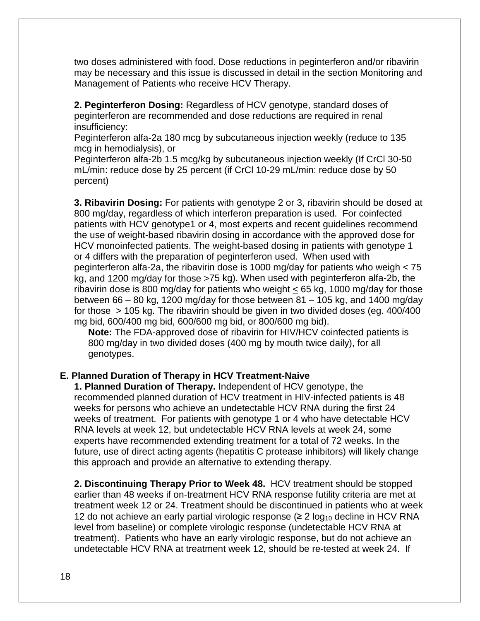two doses administered with food. Dose reductions in peginterferon and/or ribavirin may be necessary and this issue is discussed in detail in the section Monitoring and Management of Patients who receive HCV Therapy.

**2. Peginterferon Dosing:** Regardless of HCV genotype, standard doses of peginterferon are recommended and dose reductions are required in renal insufficiency:

Peginterferon alfa-2a 180 mcg by subcutaneous injection weekly (reduce to 135 mcg in hemodialysis), or

Peginterferon alfa-2b 1.5 mcg/kg by subcutaneous injection weekly (If CrCl 30-50 mL/min: reduce dose by 25 percent (if CrCl 10-29 mL/min: reduce dose by 50 percent)

**3. Ribavirin Dosing:** For patients with genotype 2 or 3, ribavirin should be dosed at 800 mg/day, regardless of which interferon preparation is used. For coinfected patients with HCV genotype1 or 4, most experts and recent guidelines recommend the use of weight-based ribavirin dosing in accordance with the approved dose for HCV monoinfected patients. The weight-based dosing in patients with genotype 1 or 4 differs with the preparation of peginterferon used. When used with peginterferon alfa-2a, the ribavirin dose is 1000 mg/day for patients who weigh < 75 kg, and 1200 mg/day for those >75 kg). When used with peginterferon alfa-2b, the ribavirin dose is 800 mg/day for patients who weight < 65 kg, 1000 mg/day for those between 66 – 80 kg, 1200 mg/day for those between 81 – 105 kg, and 1400 mg/day for those > 105 kg. The ribavirin should be given in two divided doses (eg. 400/400 mg bid, 600/400 mg bid, 600/600 mg bid, or 800/600 mg bid).

**Note:** The FDA-approved dose of ribavirin for HIV/HCV coinfected patients is 800 mg/day in two divided doses (400 mg by mouth twice daily), for all genotypes.

#### **E. Planned Duration of Therapy in HCV Treatment-Naive**

**1. Planned Duration of Therapy.** Independent of HCV genotype, the recommended planned duration of HCV treatment in HIV-infected patients is 48 weeks for persons who achieve an undetectable HCV RNA during the first 24 weeks of treatment. For patients with genotype 1 or 4 who have detectable HCV RNA levels at week 12, but undetectable HCV RNA levels at week 24, some experts have recommended extending treatment for a total of 72 weeks. In the future, use of direct acting agents (hepatitis C protease inhibitors) will likely change this approach and provide an alternative to extending therapy.

**2. Discontinuing Therapy Prior to Week 48.** HCV treatment should be stopped earlier than 48 weeks if on-treatment HCV RNA response futility criteria are met at treatment week 12 or 24. Treatment should be discontinued in patients who at week 12 do not achieve an early partial virologic response ( $\geq 2 \log_{10}$  decline in HCV RNA level from baseline) or complete virologic response (undetectable HCV RNA at treatment). Patients who have an early virologic response, but do not achieve an undetectable HCV RNA at treatment week 12, should be re-tested at week 24. If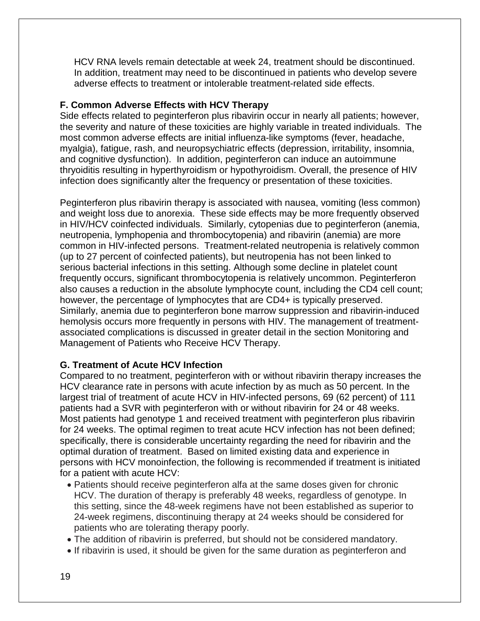HCV RNA levels remain detectable at week 24, treatment should be discontinued. In addition, treatment may need to be discontinued in patients who develop severe adverse effects to treatment or intolerable treatment-related side effects.

#### **F. Common Adverse Effects with HCV Therapy**

Side effects related to peginterferon plus ribavirin occur in nearly all patients; however, the severity and nature of these toxicities are highly variable in treated individuals. The most common adverse effects are initial influenza-like symptoms (fever, headache, myalgia), fatigue, rash, and neuropsychiatric effects (depression, irritability, insomnia, and cognitive dysfunction). In addition, peginterferon can induce an autoimmune thryoiditis resulting in hyperthyroidism or hypothyroidism. Overall, the presence of HIV infection does significantly alter the frequency or presentation of these toxicities.

Peginterferon plus ribavirin therapy is associated with nausea, vomiting (less common) and weight loss due to anorexia. These side effects may be more frequently observed in HIV/HCV coinfected individuals. Similarly, cytopenias due to peginterferon (anemia, neutropenia, lymphopenia and thrombocytopenia) and ribavirin (anemia) are more common in HIV-infected persons. Treatment-related neutropenia is relatively common (up to 27 percent of coinfected patients), but neutropenia has not been linked to serious bacterial infections in this setting. Although some decline in platelet count frequently occurs, significant thrombocytopenia is relatively uncommon. Peginterferon also causes a reduction in the absolute lymphocyte count, including the CD4 cell count; however, the percentage of lymphocytes that are CD4+ is typically preserved. Similarly, anemia due to peginterferon bone marrow suppression and ribavirin-induced hemolysis occurs more frequently in persons with HIV. The management of treatmentassociated complications is discussed in greater detail in the section Monitoring and Management of Patients who Receive HCV Therapy.

#### **G. Treatment of Acute HCV Infection**

Compared to no treatment, peginterferon with or without ribavirin therapy increases the HCV clearance rate in persons with acute infection by as much as 50 percent. In the largest trial of treatment of acute HCV in HIV-infected persons, 69 (62 percent) of 111 patients had a SVR with peginterferon with or without ribavirin for 24 or 48 weeks. Most patients had genotype 1 and received treatment with peginterferon plus ribavirin for 24 weeks. The optimal regimen to treat acute HCV infection has not been defined; specifically, there is considerable uncertainty regarding the need for ribavirin and the optimal duration of treatment. Based on limited existing data and experience in persons with HCV monoinfection, the following is recommended if treatment is initiated for a patient with acute HCV:

- Patients should receive peginterferon alfa at the same doses given for chronic HCV. The duration of therapy is preferably 48 weeks, regardless of genotype. In this setting, since the 48-week regimens have not been established as superior to 24-week regimens, discontinuing therapy at 24 weeks should be considered for patients who are tolerating therapy poorly.
- The addition of ribavirin is preferred, but should not be considered mandatory.
- If ribavirin is used, it should be given for the same duration as peginterferon and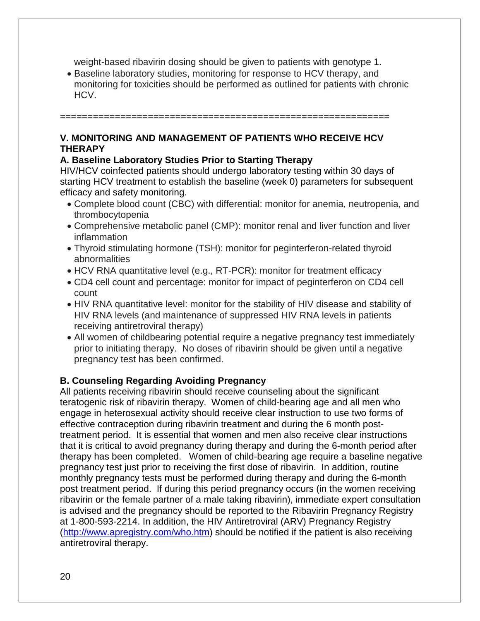weight-based ribavirin dosing should be given to patients with genotype 1.

• Baseline laboratory studies, monitoring for response to HCV therapy, and monitoring for toxicities should be performed as outlined for patients with chronic HCV.

#### **V. MONITORING AND MANAGEMENT OF PATIENTS WHO RECEIVE HCV THERAPY**

============================================================

#### **A. Baseline Laboratory Studies Prior to Starting Therapy**

HIV/HCV coinfected patients should undergo laboratory testing within 30 days of starting HCV treatment to establish the baseline (week 0) parameters for subsequent efficacy and safety monitoring.

- Complete blood count (CBC) with differential: monitor for anemia, neutropenia, and thrombocytopenia
- Comprehensive metabolic panel (CMP): monitor renal and liver function and liver inflammation
- Thyroid stimulating hormone (TSH): monitor for peginterferon-related thyroid abnormalities
- HCV RNA quantitative level (e.g., RT-PCR): monitor for treatment efficacy
- CD4 cell count and percentage: monitor for impact of peginterferon on CD4 cell count
- HIV RNA quantitative level: monitor for the stability of HIV disease and stability of HIV RNA levels (and maintenance of suppressed HIV RNA levels in patients receiving antiretroviral therapy)
- All women of childbearing potential require a negative pregnancy test immediately prior to initiating therapy. No doses of ribavirin should be given until a negative pregnancy test has been confirmed.

#### **B. Counseling Regarding Avoiding Pregnancy**

All patients receiving ribavirin should receive counseling about the significant teratogenic risk of ribavirin therapy. Women of child-bearing age and all men who engage in heterosexual activity should receive clear instruction to use two forms of effective contraception during ribavirin treatment and during the 6 month posttreatment period. It is essential that women and men also receive clear instructions that it is critical to avoid pregnancy during therapy and during the 6-month period after therapy has been completed. Women of child-bearing age require a baseline negative pregnancy test just prior to receiving the first dose of ribavirin. In addition, routine monthly pregnancy tests must be performed during therapy and during the 6-month post treatment period. If during this period pregnancy occurs (in the women receiving ribavirin or the female partner of a male taking ribavirin), immediate expert consultation is advised and the pregnancy should be reported to the Ribavirin Pregnancy Registry at 1-800-593-2214. In addition, the HIV Antiretroviral (ARV) Pregnancy Registry [\(http://www.apregistry.com/who.htm\)](http://www.apregistry.com/who.htm) should be notified if the patient is also receiving antiretroviral therapy.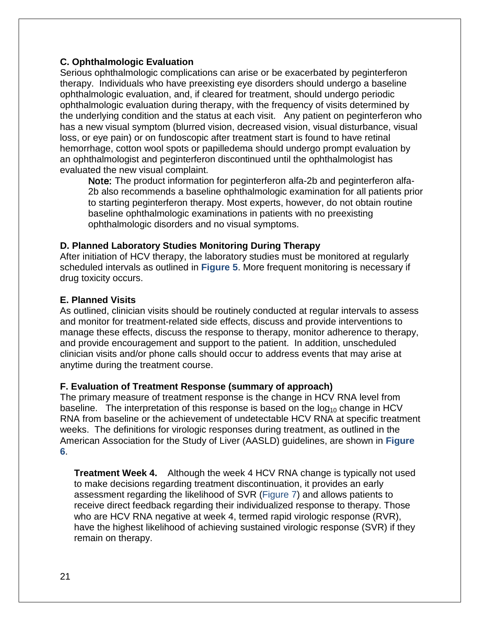#### **C. Ophthalmologic Evaluation**

Serious ophthalmologic complications can arise or be exacerbated by peginterferon therapy. Individuals who have preexisting eye disorders should undergo a baseline ophthalmologic evaluation, and, if cleared for treatment, should undergo periodic ophthalmologic evaluation during therapy, with the frequency of visits determined by the underlying condition and the status at each visit. Any patient on peginterferon who has a new visual symptom (blurred vision, decreased vision, visual disturbance, visual loss, or eye pain) or on fundoscopic after treatment start is found to have retinal hemorrhage, cotton wool spots or papilledema should undergo prompt evaluation by an ophthalmologist and peginterferon discontinued until the ophthalmologist has evaluated the new visual complaint.

Note: The product information for peginterferon alfa-2b and peginterferon alfa-2b also recommends a baseline ophthalmologic examination for all patients prior to starting peginterferon therapy. Most experts, however, do not obtain routine baseline ophthalmologic examinations in patients with no preexisting ophthalmologic disorders and no visual symptoms.

#### **D. Planned Laboratory Studies Monitoring During Therapy**

After initiation of HCV therapy, the laboratory studies must be monitored at regularly scheduled intervals as outlined in **Figure 5**. More frequent monitoring is necessary if drug toxicity occurs.

#### **E. Planned Visits**

As outlined, clinician visits should be routinely conducted at regular intervals to assess and monitor for treatment-related side effects, discuss and provide interventions to manage these effects, discuss the response to therapy, monitor adherence to therapy, and provide encouragement and support to the patient. In addition, unscheduled clinician visits and/or phone calls should occur to address events that may arise at anytime during the treatment course.

#### **F. Evaluation of Treatment Response (summary of approach)**

The primary measure of treatment response is the change in HCV RNA level from baseline. The interpretation of this response is based on the  $log_{10}$  change in HCV RNA from baseline or the achievement of undetectable HCV RNA at specific treatment weeks. The definitions for virologic responses during treatment, as outlined in the American Association for the Study of Liver (AASLD) guidelines, are shown in **Figure 6**.

**Treatment Week 4.** Although the week 4 HCV RNA change is typically not used to make decisions regarding treatment discontinuation, it provides an early assessment regarding the likelihood of SVR (Figure 7) and allows patients to receive direct feedback regarding their individualized response to therapy. Those who are HCV RNA negative at week 4, termed rapid virologic response (RVR), have the highest likelihood of achieving sustained virologic response (SVR) if they remain on therapy.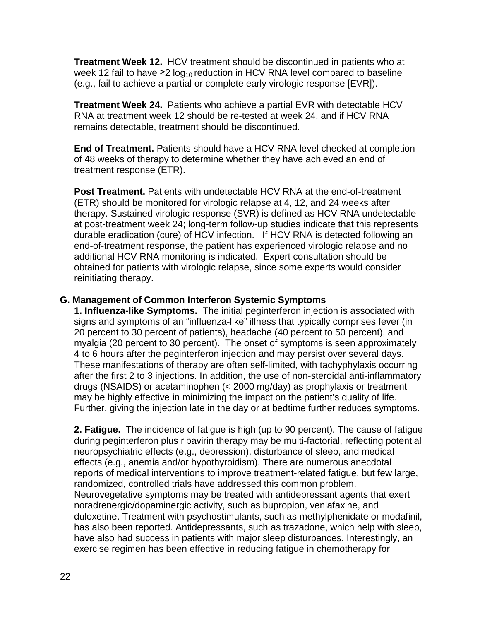**Treatment Week 12.** HCV treatment should be discontinued in patients who at week 12 fail to have  $\geq 2 \log_{10}$  reduction in HCV RNA level compared to baseline (e.g., fail to achieve a partial or complete early virologic response [EVR]).

**Treatment Week 24.** Patients who achieve a partial EVR with detectable HCV RNA at treatment week 12 should be re-tested at week 24, and if HCV RNA remains detectable, treatment should be discontinued.

**End of Treatment.** Patients should have a HCV RNA level checked at completion of 48 weeks of therapy to determine whether they have achieved an end of treatment response (ETR).

**Post Treatment.** Patients with undetectable HCV RNA at the end-of-treatment (ETR) should be monitored for virologic relapse at 4, 12, and 24 weeks after therapy. Sustained virologic response (SVR) is defined as HCV RNA undetectable at post-treatment week 24; long-term follow-up studies indicate that this represents durable eradication (cure) of HCV infection. If HCV RNA is detected following an end-of-treatment response, the patient has experienced virologic relapse and no additional HCV RNA monitoring is indicated. Expert consultation should be obtained for patients with virologic relapse, since some experts would consider reinitiating therapy.

#### **G. Management of Common Interferon Systemic Symptoms**

**1. Influenza-like Symptoms.** The initial peginterferon injection is associated with signs and symptoms of an "influenza-like" illness that typically comprises fever (in 20 percent to 30 percent of patients), headache (40 percent to 50 percent), and myalgia (20 percent to 30 percent). The onset of symptoms is seen approximately 4 to 6 hours after the peginterferon injection and may persist over several days. These manifestations of therapy are often self-limited, with tachyphylaxis occurring after the first 2 to 3 injections. In addition, the use of non-steroidal anti-inflammatory drugs (NSAIDS) or acetaminophen (< 2000 mg/day) as prophylaxis or treatment may be highly effective in minimizing the impact on the patient's quality of life. Further, giving the injection late in the day or at bedtime further reduces symptoms.

**2. Fatigue.** The incidence of fatigue is high (up to 90 percent). The cause of fatigue during peginterferon plus ribavirin therapy may be multi-factorial, reflecting potential neuropsychiatric effects (e.g., depression), disturbance of sleep, and medical effects (e.g., anemia and/or hypothyroidism). There are numerous anecdotal reports of medical interventions to improve treatment-related fatigue, but few large, randomized, controlled trials have addressed this common problem. Neurovegetative symptoms may be treated with antidepressant agents that exert noradrenergic/dopaminergic activity, such as bupropion, venlafaxine, and duloxetine. Treatment with psychostimulants, such as methylphenidate or modafinil, has also been reported. Antidepressants, such as trazadone, which help with sleep, have also had success in patients with major sleep disturbances. Interestingly, an exercise regimen has been effective in reducing fatigue in chemotherapy for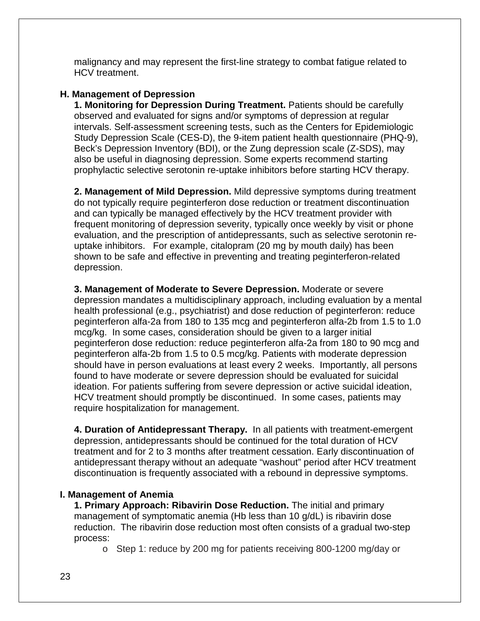malignancy and may represent the first-line strategy to combat fatigue related to HCV treatment.

#### **H. Management of Depression**

**1. Monitoring for Depression During Treatment.** Patients should be carefully observed and evaluated for signs and/or symptoms of depression at regular intervals. Self-assessment screening tests, such as the Centers for Epidemiologic Study Depression Scale (CES-D), the 9-item patient health questionnaire (PHQ-9), Beck's Depression Inventory (BDI), or the Zung depression scale (Z-SDS), may also be useful in diagnosing depression. Some experts recommend starting prophylactic selective serotonin re-uptake inhibitors before starting HCV therapy.

**2. Management of Mild Depression.** Mild depressive symptoms during treatment do not typically require peginterferon dose reduction or treatment discontinuation and can typically be managed effectively by the HCV treatment provider with frequent monitoring of depression severity, typically once weekly by visit or phone evaluation, and the prescription of antidepressants, such as selective serotonin reuptake inhibitors. For example, citalopram (20 mg by mouth daily) has been shown to be safe and effective in preventing and treating peginterferon-related depression.

**3. Management of Moderate to Severe Depression.** Moderate or severe depression mandates a multidisciplinary approach, including evaluation by a mental health professional (e.g., psychiatrist) and dose reduction of peginterferon: reduce peginterferon alfa-2a from 180 to 135 mcg and peginterferon alfa-2b from 1.5 to 1.0 mcg/kg. In some cases, consideration should be given to a larger initial peginterferon dose reduction: reduce peginterferon alfa-2a from 180 to 90 mcg and peginterferon alfa-2b from 1.5 to 0.5 mcg/kg. Patients with moderate depression should have in person evaluations at least every 2 weeks. Importantly, all persons found to have moderate or severe depression should be evaluated for suicidal ideation. For patients suffering from severe depression or active suicidal ideation, HCV treatment should promptly be discontinued. In some cases, patients may require hospitalization for management.

**4. Duration of Antidepressant Therapy.** In all patients with treatment-emergent depression, antidepressants should be continued for the total duration of HCV treatment and for 2 to 3 months after treatment cessation. Early discontinuation of antidepressant therapy without an adequate "washout" period after HCV treatment discontinuation is frequently associated with a rebound in depressive symptoms.

#### **I. Management of Anemia**

**1. Primary Approach: Ribavirin Dose Reduction.** The initial and primary management of symptomatic anemia (Hb less than 10 g/dL) is ribavirin dose reduction. The ribavirin dose reduction most often consists of a gradual two-step process:

o Step 1: reduce by 200 mg for patients receiving 800-1200 mg/day or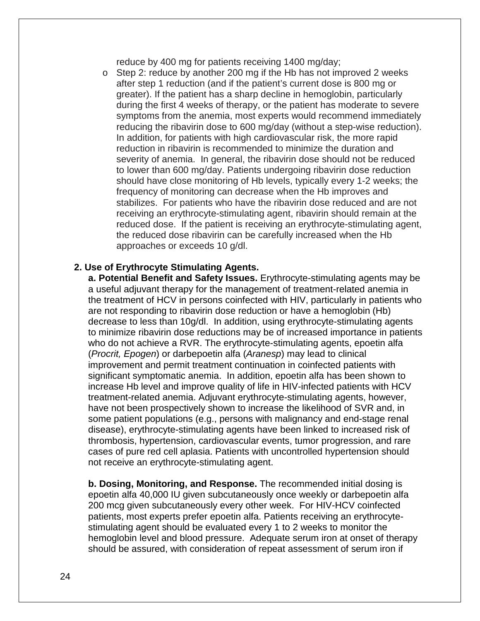reduce by 400 mg for patients receiving 1400 mg/day;

o Step 2: reduce by another 200 mg if the Hb has not improved 2 weeks after step 1 reduction (and if the patient's current dose is 800 mg or greater). If the patient has a sharp decline in hemoglobin, particularly during the first 4 weeks of therapy, or the patient has moderate to severe symptoms from the anemia, most experts would recommend immediately reducing the ribavirin dose to 600 mg/day (without a step-wise reduction). In addition, for patients with high cardiovascular risk, the more rapid reduction in ribavirin is recommended to minimize the duration and severity of anemia. In general, the ribavirin dose should not be reduced to lower than 600 mg/day. Patients undergoing ribavirin dose reduction should have close monitoring of Hb levels, typically every 1-2 weeks; the frequency of monitoring can decrease when the Hb improves and stabilizes. For patients who have the ribavirin dose reduced and are not receiving an erythrocyte-stimulating agent, ribavirin should remain at the reduced dose. If the patient is receiving an erythrocyte-stimulating agent, the reduced dose ribavirin can be carefully increased when the Hb approaches or exceeds 10 g/dl.

#### **2. Use of Erythrocyte Stimulating Agents.**

**a. Potential Benefit and Safety Issues.** Erythrocyte-stimulating agents may be a useful adjuvant therapy for the management of treatment-related anemia in the treatment of HCV in persons coinfected with HIV, particularly in patients who are not responding to ribavirin dose reduction or have a hemoglobin (Hb) decrease to less than 10g/dl. In addition, using erythrocyte-stimulating agents to minimize ribavirin dose reductions may be of increased importance in patients who do not achieve a RVR. The erythrocyte-stimulating agents, epoetin alfa (*Procrit, Epogen*) or darbepoetin alfa (*Aranesp*) may lead to clinical improvement and permit treatment continuation in coinfected patients with significant symptomatic anemia. In addition, epoetin alfa has been shown to increase Hb level and improve quality of life in HIV-infected patients with HCV treatment-related anemia. Adjuvant erythrocyte-stimulating agents, however, have not been prospectively shown to increase the likelihood of SVR and, in some patient populations (e.g., persons with malignancy and end-stage renal disease), erythrocyte-stimulating agents have been linked to increased risk of thrombosis, hypertension, cardiovascular events, tumor progression, and rare cases of pure red cell aplasia. Patients with uncontrolled hypertension should not receive an erythrocyte-stimulating agent.

**b. Dosing, Monitoring, and Response.** The recommended initial dosing is epoetin alfa 40,000 IU given subcutaneously once weekly or darbepoetin alfa 200 mcg given subcutaneously every other week. For HIV-HCV coinfected patients, most experts prefer epoetin alfa. Patients receiving an erythrocytestimulating agent should be evaluated every 1 to 2 weeks to monitor the hemoglobin level and blood pressure. Adequate serum iron at onset of therapy should be assured, with consideration of repeat assessment of serum iron if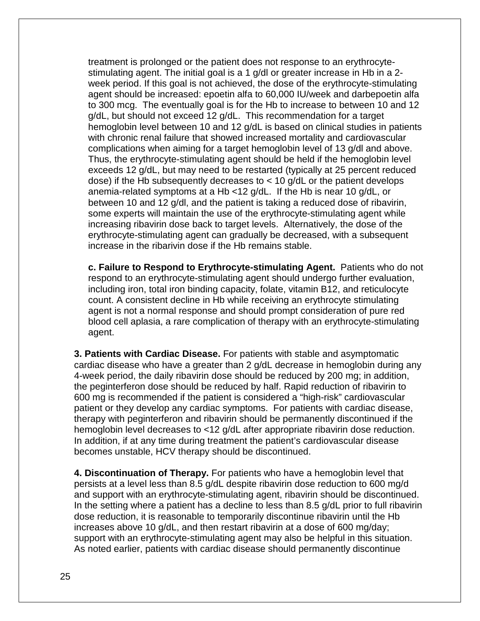treatment is prolonged or the patient does not response to an erythrocytestimulating agent. The initial goal is a 1 g/dl or greater increase in Hb in a 2 week period. If this goal is not achieved, the dose of the erythrocyte-stimulating agent should be increased: epoetin alfa to 60,000 IU/week and darbepoetin alfa to 300 mcg. The eventually goal is for the Hb to increase to between 10 and 12 g/dL, but should not exceed 12 g/dL. This recommendation for a target hemoglobin level between 10 and 12 g/dL is based on clinical studies in patients with chronic renal failure that showed increased mortality and cardiovascular complications when aiming for a target hemoglobin level of 13 g/dl and above. Thus, the erythrocyte-stimulating agent should be held if the hemoglobin level exceeds 12 g/dL, but may need to be restarted (typically at 25 percent reduced dose) if the Hb subsequently decreases to  $<$  10 g/dL or the patient develops anemia-related symptoms at a Hb <12 g/dL. If the Hb is near 10 g/dL, or between 10 and 12 g/dl, and the patient is taking a reduced dose of ribavirin, some experts will maintain the use of the erythrocyte-stimulating agent while increasing ribavirin dose back to target levels. Alternatively, the dose of the erythrocyte-stimulating agent can gradually be decreased, with a subsequent increase in the ribarivin dose if the Hb remains stable.

**c. Failure to Respond to Erythrocyte-stimulating Agent.** Patients who do not respond to an erythrocyte-stimulating agent should undergo further evaluation, including iron, total iron binding capacity, folate, vitamin B12, and reticulocyte count. A consistent decline in Hb while receiving an erythrocyte stimulating agent is not a normal response and should prompt consideration of pure red blood cell aplasia, a rare complication of therapy with an erythrocyte-stimulating agent.

**3. Patients with Cardiac Disease.** For patients with stable and asymptomatic cardiac disease who have a greater than 2 g/dL decrease in hemoglobin during any 4-week period, the daily ribavirin dose should be reduced by 200 mg; in addition, the peginterferon dose should be reduced by half. Rapid reduction of ribavirin to 600 mg is recommended if the patient is considered a "high-risk" cardiovascular patient or they develop any cardiac symptoms. For patients with cardiac disease, therapy with peginterferon and ribavirin should be permanently discontinued if the hemoglobin level decreases to <12 g/dL after appropriate ribavirin dose reduction. In addition, if at any time during treatment the patient's cardiovascular disease becomes unstable, HCV therapy should be discontinued.

**4. Discontinuation of Therapy.** For patients who have a hemoglobin level that persists at a level less than 8.5 g/dL despite ribavirin dose reduction to 600 mg/d and support with an erythrocyte-stimulating agent, ribavirin should be discontinued. In the setting where a patient has a decline to less than 8.5 g/dL prior to full ribavirin dose reduction, it is reasonable to temporarily discontinue ribavirin until the Hb increases above 10 g/dL, and then restart ribavirin at a dose of 600 mg/day; support with an erythrocyte-stimulating agent may also be helpful in this situation. As noted earlier, patients with cardiac disease should permanently discontinue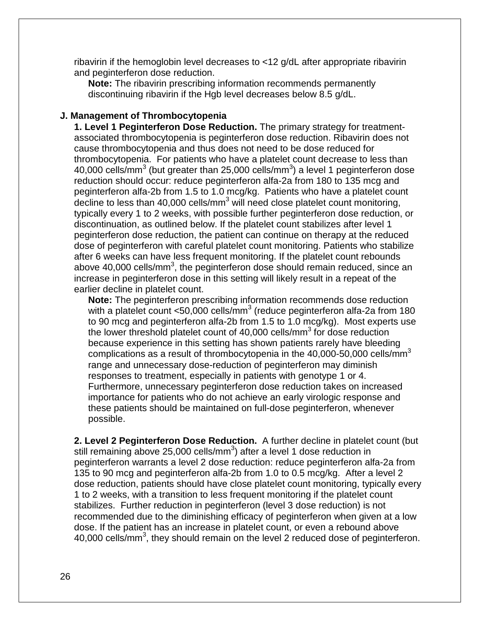ribavirin if the hemoglobin level decreases to <12 g/dL after appropriate ribavirin and peginterferon dose reduction.

**Note:** The ribavirin prescribing information recommends permanently discontinuing ribavirin if the Hgb level decreases below 8.5 g/dL.

#### **J. Management of Thrombocytopenia**

**1. Level 1 Peginterferon Dose Reduction.** The primary strategy for treatmentassociated thrombocytopenia is peginterferon dose reduction. Ribavirin does not cause thrombocytopenia and thus does not need to be dose reduced for thrombocytopenia. For patients who have a platelet count decrease to less than 40,000 cells/mm<sup>3</sup> (but greater than 25,000 cells/mm<sup>3</sup>) a level 1 peginterferon dose reduction should occur: reduce peginterferon alfa-2a from 180 to 135 mcg and peginterferon alfa-2b from 1.5 to 1.0 mcg/kg. Patients who have a platelet count decline to less than 40,000 cells/mm<sup>3</sup> will need close platelet count monitoring, typically every 1 to 2 weeks, with possible further peginterferon dose reduction, or discontinuation, as outlined below. If the platelet count stabilizes after level 1 peginterferon dose reduction, the patient can continue on therapy at the reduced dose of peginterferon with careful platelet count monitoring. Patients who stabilize after 6 weeks can have less frequent monitoring. If the platelet count rebounds above 40,000 cells/mm<sup>3</sup>, the peginterferon dose should remain reduced, since an increase in peginterferon dose in this setting will likely result in a repeat of the earlier decline in platelet count.

**Note:** The peginterferon prescribing information recommends dose reduction with a platelet count  $<50,000$  cells/mm<sup>3</sup> (reduce peginterferon alfa-2a from 180 to 90 mcg and peginterferon alfa-2b from 1.5 to 1.0 mcg/kg). Most experts use the lower threshold platelet count of  $40,000$  cells/mm<sup>3</sup> for dose reduction because experience in this setting has shown patients rarely have bleeding complications as a result of thrombocytopenia in the  $40,000$ -50,000 cells/mm<sup>3</sup> range and unnecessary dose-reduction of peginterferon may diminish responses to treatment, especially in patients with genotype 1 or 4. Furthermore, unnecessary peginterferon dose reduction takes on increased importance for patients who do not achieve an early virologic response and these patients should be maintained on full-dose peginterferon, whenever possible.

**2. Level 2 Peginterferon Dose Reduction.** A further decline in platelet count (but still remaining above 25,000 cells/mm<sup>3</sup>) after a level 1 dose reduction in peginterferon warrants a level 2 dose reduction: reduce peginterferon alfa-2a from 135 to 90 mcg and peginterferon alfa-2b from 1.0 to 0.5 mcg/kg. After a level 2 dose reduction, patients should have close platelet count monitoring, typically every 1 to 2 weeks, with a transition to less frequent monitoring if the platelet count stabilizes. Further reduction in peginterferon (level 3 dose reduction) is not recommended due to the diminishing efficacy of peginterferon when given at a low dose. If the patient has an increase in platelet count, or even a rebound above 40,000 cells/mm<sup>3</sup> , they should remain on the level 2 reduced dose of peginterferon.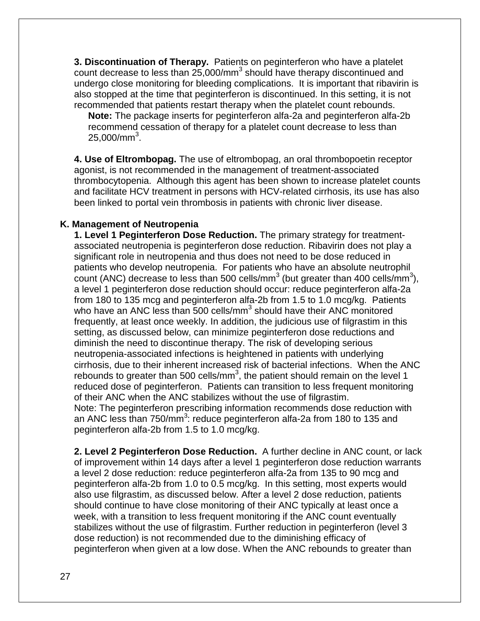**3. Discontinuation of Therapy.** Patients on peginterferon who have a platelet count decrease to less than 25,000/mm<sup>3</sup> should have therapy discontinued and undergo close monitoring for bleeding complications. It is important that ribavirin is also stopped at the time that peginterferon is discontinued. In this setting, it is not recommended that patients restart therapy when the platelet count rebounds.

**Note:** The package inserts for peginterferon alfa-2a and peginterferon alfa-2b recommend cessation of therapy for a platelet count decrease to less than 25,000/mm $^3$ .

**4. Use of Eltrombopag.** The use of eltrombopag, an oral thrombopoetin receptor agonist, is not recommended in the management of treatment-associated thrombocytopenia. Although this agent has been shown to increase platelet counts and facilitate HCV treatment in persons with HCV-related cirrhosis, its use has also been linked to portal vein thrombosis in patients with chronic liver disease.

#### **K. Management of Neutropenia**

**1. Level 1 Peginterferon Dose Reduction.** The primary strategy for treatmentassociated neutropenia is peginterferon dose reduction. Ribavirin does not play a significant role in neutropenia and thus does not need to be dose reduced in patients who develop neutropenia. For patients who have an absolute neutrophil count (ANC) decrease to less than 500 cells/mm<sup>3</sup> (but greater than 400 cells/mm<sup>3</sup>), a level 1 peginterferon dose reduction should occur: reduce peginterferon alfa-2a from 180 to 135 mcg and peginterferon alfa-2b from 1.5 to 1.0 mcg/kg. Patients who have an ANC less than 500 cells/mm<sup>3</sup> should have their ANC monitored frequently, at least once weekly. In addition, the judicious use of filgrastim in this setting, as discussed below, can minimize peginterferon dose reductions and diminish the need to discontinue therapy. The risk of developing serious neutropenia-associated infections is heightened in patients with underlying cirrhosis, due to their inherent increased risk of bacterial infections. When the ANC rebounds to greater than 500 cells/mm<sup>3</sup>, the patient should remain on the level 1 reduced dose of peginterferon. Patients can transition to less frequent monitoring of their ANC when the ANC stabilizes without the use of filgrastim. Note: The peginterferon prescribing information recommends dose reduction with an ANC less than 750/mm<sup>3</sup>: reduce peginterferon alfa-2a from 180 to 135 and peginterferon alfa-2b from 1.5 to 1.0 mcg/kg.

**2. Level 2 Peginterferon Dose Reduction.** A further decline in ANC count, or lack of improvement within 14 days after a level 1 peginterferon dose reduction warrants a level 2 dose reduction: reduce peginterferon alfa-2a from 135 to 90 mcg and peginterferon alfa-2b from 1.0 to 0.5 mcg/kg. In this setting, most experts would also use filgrastim, as discussed below. After a level 2 dose reduction, patients should continue to have close monitoring of their ANC typically at least once a week, with a transition to less frequent monitoring if the ANC count eventually stabilizes without the use of filgrastim. Further reduction in peginterferon (level 3 dose reduction) is not recommended due to the diminishing efficacy of peginterferon when given at a low dose. When the ANC rebounds to greater than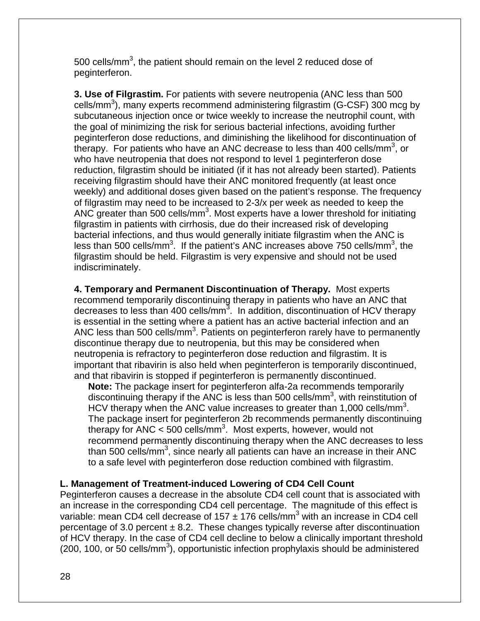500 cells/mm<sup>3</sup>, the patient should remain on the level 2 reduced dose of peginterferon.

**3. Use of Filgrastim.** For patients with severe neutropenia (ANC less than 500 cells/mm<sup>3</sup>), many experts recommend administering filgrastim (G-CSF) 300 mcg by subcutaneous injection once or twice weekly to increase the neutrophil count, with the goal of minimizing the risk for serious bacterial infections, avoiding further peginterferon dose reductions, and diminishing the likelihood for discontinuation of therapy. For patients who have an ANC decrease to less than 400 cells/mm<sup>3</sup>, or who have neutropenia that does not respond to level 1 peginterferon dose reduction, filgrastim should be initiated (if it has not already been started). Patients receiving filgrastim should have their ANC monitored frequently (at least once weekly) and additional doses given based on the patient's response. The frequency of filgrastim may need to be increased to 2-3/x per week as needed to keep the ANC greater than 500 cells/mm<sup>3</sup>. Most experts have a lower threshold for initiating filgrastim in patients with cirrhosis, due do their increased risk of developing bacterial infections, and thus would generally initiate filgrastim when the ANC is less than 500 cells/mm<sup>3</sup>. If the patient's ANC increases above 750 cells/mm<sup>3</sup>, the filgrastim should be held. Filgrastim is very expensive and should not be used indiscriminately.

**4. Temporary and Permanent Discontinuation of Therapy.** Most experts recommend temporarily discontinuing therapy in patients who have an ANC that decreases to less than 400 cells/mm<sup>3</sup>. In addition, discontinuation of HCV therapy is essential in the setting where a patient has an active bacterial infection and an ANC less than 500 cells/mm<sup>3</sup>. Patients on peginterferon rarely have to permanently discontinue therapy due to neutropenia, but this may be considered when neutropenia is refractory to peginterferon dose reduction and filgrastim. It is important that ribavirin is also held when peginterferon is temporarily discontinued, and that ribavirin is stopped if peginterferon is permanently discontinued.

**Note:** The package insert for peginterferon alfa-2a recommends temporarily discontinuing therapy if the ANC is less than 500 cells/mm<sup>3</sup>, with reinstitution of HCV therapy when the ANC value increases to greater than 1,000 cells/mm<sup>3</sup>. The package insert for peginterferon 2b recommends permanently discontinuing therapy for ANC < 500 cells/mm<sup>3</sup>. Most experts, however, would not recommend permanently discontinuing therapy when the ANC decreases to less than 500 cells/mm<sup>3</sup>, since nearly all patients can have an increase in their ANC to a safe level with peginterferon dose reduction combined with filgrastim.

#### **L. Management of Treatment-induced Lowering of CD4 Cell Count**

Peginterferon causes a decrease in the absolute CD4 cell count that is associated with an increase in the corresponding CD4 cell percentage. The magnitude of this effect is variable: mean CD4 cell decrease of  $157 \pm 176$  cells/mm<sup>3</sup> with an increase in CD4 cell percentage of 3.0 percent  $\pm$  8.2. These changes typically reverse after discontinuation of HCV therapy. In the case of CD4 cell decline to below a clinically important threshold  $(200, 100, \text{ or } 50 \text{ cells/mm}^3)$ , opportunistic infection prophylaxis should be administered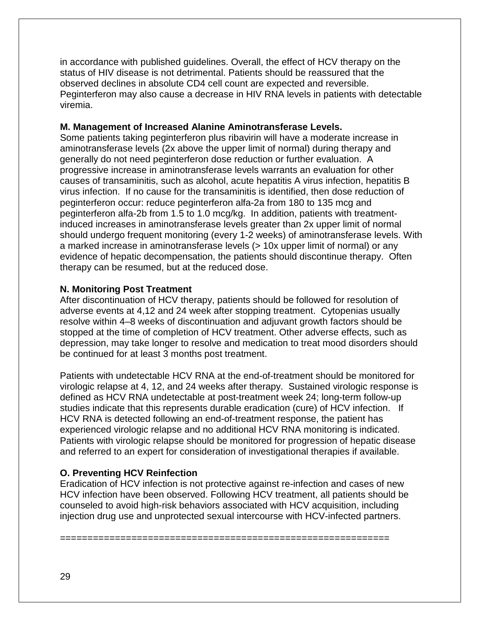in accordance with published guidelines. Overall, the effect of HCV therapy on the status of HIV disease is not detrimental. Patients should be reassured that the observed declines in absolute CD4 cell count are expected and reversible. Peginterferon may also cause a decrease in HIV RNA levels in patients with detectable viremia.

#### **M. Management of Increased Alanine Aminotransferase Levels.**

Some patients taking peginterferon plus ribavirin will have a moderate increase in aminotransferase levels (2x above the upper limit of normal) during therapy and generally do not need peginterferon dose reduction or further evaluation. A progressive increase in aminotransferase levels warrants an evaluation for other causes of transaminitis, such as alcohol, acute hepatitis A virus infection, hepatitis B virus infection. If no cause for the transaminitis is identified, then dose reduction of peginterferon occur: reduce peginterferon alfa-2a from 180 to 135 mcg and peginterferon alfa-2b from 1.5 to 1.0 mcg/kg. In addition, patients with treatmentinduced increases in aminotransferase levels greater than 2x upper limit of normal should undergo frequent monitoring (every 1-2 weeks) of aminotransferase levels. With a marked increase in aminotransferase levels (> 10x upper limit of normal) or any evidence of hepatic decompensation, the patients should discontinue therapy. Often therapy can be resumed, but at the reduced dose.

#### **N. Monitoring Post Treatment**

After discontinuation of HCV therapy, patients should be followed for resolution of adverse events at 4,12 and 24 week after stopping treatment. Cytopenias usually resolve within 4–8 weeks of discontinuation and adjuvant growth factors should be stopped at the time of completion of HCV treatment. Other adverse effects, such as depression, may take longer to resolve and medication to treat mood disorders should be continued for at least 3 months post treatment.

Patients with undetectable HCV RNA at the end-of-treatment should be monitored for virologic relapse at 4, 12, and 24 weeks after therapy. Sustained virologic response is defined as HCV RNA undetectable at post-treatment week 24; long-term follow-up studies indicate that this represents durable eradication (cure) of HCV infection. If HCV RNA is detected following an end-of-treatment response, the patient has experienced virologic relapse and no additional HCV RNA monitoring is indicated. Patients with virologic relapse should be monitored for progression of hepatic disease and referred to an expert for consideration of investigational therapies if available.

#### **O. Preventing HCV Reinfection**

Eradication of HCV infection is not protective against re-infection and cases of new HCV infection have been observed. Following HCV treatment, all patients should be counseled to avoid high-risk behaviors associated with HCV acquisition, including injection drug use and unprotected sexual intercourse with HCV-infected partners.

============================================================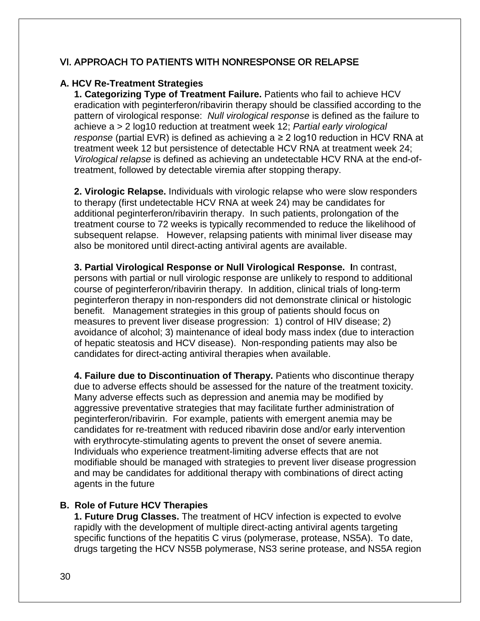#### VI. APPROACH TO PATIENTS WITH NONRESPONSE OR RELAPSE

#### **A. HCV Re-Treatment Strategies**

**1. Categorizing Type of Treatment Failure.** Patients who fail to achieve HCV eradication with peginterferon/ribavirin therapy should be classified according to the pattern of virological response: *Null virological response* is defined as the failure to achieve a > 2 log10 reduction at treatment week 12; *Partial early virological response* (partial EVR) is defined as achieving a ≥ 2 log10 reduction in HCV RNA at treatment week 12 but persistence of detectable HCV RNA at treatment week 24; *Virological relapse* is defined as achieving an undetectable HCV RNA at the end-oftreatment, followed by detectable viremia after stopping therapy.

**2. Virologic Relapse.** Individuals with virologic relapse who were slow responders to therapy (first undetectable HCV RNA at week 24) may be candidates for additional peginterferon/ribavirin therapy. In such patients, prolongation of the treatment course to 72 weeks is typically recommended to reduce the likelihood of subsequent relapse. However, relapsing patients with minimal liver disease may also be monitored until direct-acting antiviral agents are available.

**3. Partial Virological Response or Null Virological Response. I**n contrast, persons with partial or null virologic response are unlikely to respond to additional course of peginterferon/ribavirin therapy. In addition, clinical trials of long-term peginterferon therapy in non-responders did not demonstrate clinical or histologic benefit. Management strategies in this group of patients should focus on measures to prevent liver disease progression: 1) control of HIV disease; 2) avoidance of alcohol; 3) maintenance of ideal body mass index (due to interaction of hepatic steatosis and HCV disease). Non-responding patients may also be candidates for direct-acting antiviral therapies when available.

**4. Failure due to Discontinuation of Therapy.** Patients who discontinue therapy due to adverse effects should be assessed for the nature of the treatment toxicity. Many adverse effects such as depression and anemia may be modified by aggressive preventative strategies that may facilitate further administration of peginterferon/ribavirin. For example, patients with emergent anemia may be candidates for re-treatment with reduced ribavirin dose and/or early intervention with erythrocyte-stimulating agents to prevent the onset of severe anemia. Individuals who experience treatment-limiting adverse effects that are not modifiable should be managed with strategies to prevent liver disease progression and may be candidates for additional therapy with combinations of direct acting agents in the future

#### **B. Role of Future HCV Therapies**

**1. Future Drug Classes.** The treatment of HCV infection is expected to evolve rapidly with the development of multiple direct-acting antiviral agents targeting specific functions of the hepatitis C virus (polymerase, protease, NS5A). To date, drugs targeting the HCV NS5B polymerase, NS3 serine protease, and NS5A region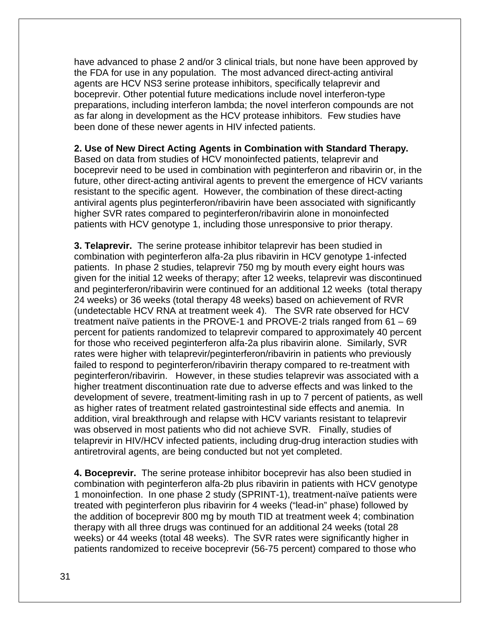have advanced to phase 2 and/or 3 clinical trials, but none have been approved by the FDA for use in any population. The most advanced direct-acting antiviral agents are HCV NS3 serine protease inhibitors, specifically telaprevir and boceprevir. Other potential future medications include novel interferon-type preparations, including interferon lambda; the novel interferon compounds are not as far along in development as the HCV protease inhibitors. Few studies have been done of these newer agents in HIV infected patients.

#### **2. Use of New Direct Acting Agents in Combination with Standard Therapy.**

Based on data from studies of HCV monoinfected patients, telaprevir and boceprevir need to be used in combination with peginterferon and ribavirin or, in the future, other direct-acting antiviral agents to prevent the emergence of HCV variants resistant to the specific agent. However, the combination of these direct-acting antiviral agents plus peginterferon/ribavirin have been associated with significantly higher SVR rates compared to peginterferon/ribavirin alone in monoinfected patients with HCV genotype 1, including those unresponsive to prior therapy.

**3. Telaprevir.** The serine protease inhibitor telaprevir has been studied in combination with peginterferon alfa-2a plus ribavirin in HCV genotype 1-infected patients. In phase 2 studies, telaprevir 750 mg by mouth every eight hours was given for the initial 12 weeks of therapy; after 12 weeks, telaprevir was discontinued and peginterferon/ribavirin were continued for an additional 12 weeks (total therapy 24 weeks) or 36 weeks (total therapy 48 weeks) based on achievement of RVR (undetectable HCV RNA at treatment week 4). The SVR rate observed for HCV treatment naïve patients in the PROVE-1 and PROVE-2 trials ranged from 61 – 69 percent for patients randomized to telaprevir compared to approximately 40 percent for those who received peginterferon alfa-2a plus ribavirin alone. Similarly, SVR rates were higher with telaprevir/peginterferon/ribavirin in patients who previously failed to respond to peginterferon/ribavirin therapy compared to re-treatment with peginterferon/ribavirin. However, in these studies telaprevir was associated with a higher treatment discontinuation rate due to adverse effects and was linked to the development of severe, treatment-limiting rash in up to 7 percent of patients, as well as higher rates of treatment related gastrointestinal side effects and anemia. In addition, viral breakthrough and relapse with HCV variants resistant to telaprevir was observed in most patients who did not achieve SVR. Finally, studies of telaprevir in HIV/HCV infected patients, including drug-drug interaction studies with antiretroviral agents, are being conducted but not yet completed.

**4. Boceprevir.** The serine protease inhibitor boceprevir has also been studied in combination with peginterferon alfa-2b plus ribavirin in patients with HCV genotype 1 monoinfection. In one phase 2 study (SPRINT-1), treatment-naïve patients were treated with peginterferon plus ribavirin for 4 weeks ("lead-in" phase) followed by the addition of boceprevir 800 mg by mouth TID at treatment week 4; combination therapy with all three drugs was continued for an additional 24 weeks (total 28 weeks) or 44 weeks (total 48 weeks). The SVR rates were significantly higher in patients randomized to receive boceprevir (56-75 percent) compared to those who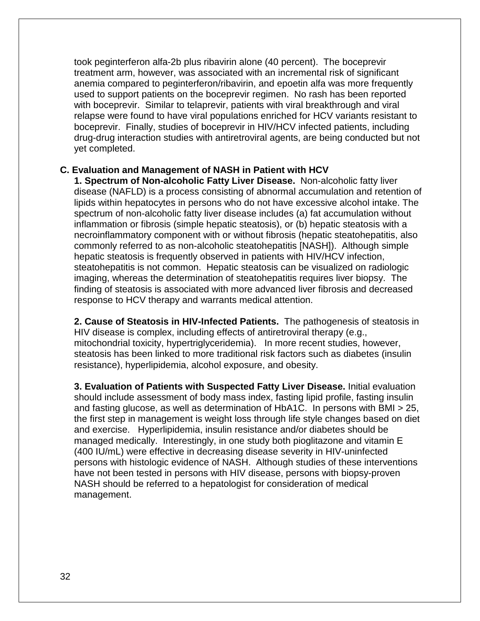took peginterferon alfa-2b plus ribavirin alone (40 percent). The boceprevir treatment arm, however, was associated with an incremental risk of significant anemia compared to peginterferon/ribavirin, and epoetin alfa was more frequently used to support patients on the boceprevir regimen. No rash has been reported with boceprevir. Similar to telaprevir, patients with viral breakthrough and viral relapse were found to have viral populations enriched for HCV variants resistant to boceprevir. Finally, studies of boceprevir in HIV/HCV infected patients, including drug-drug interaction studies with antiretroviral agents, are being conducted but not yet completed.

#### **C. Evaluation and Management of NASH in Patient with HCV**

**1. Spectrum of Non-alcoholic Fatty Liver Disease.** Non-alcoholic fatty liver disease (NAFLD) is a process consisting of abnormal accumulation and retention of lipids within hepatocytes in persons who do not have excessive alcohol intake. The spectrum of non-alcoholic fatty liver disease includes (a) fat accumulation without inflammation or fibrosis (simple hepatic steatosis), or (b) hepatic steatosis with a necroinflammatory component with or without fibrosis (hepatic steatohepatitis, also commonly referred to as non-alcoholic steatohepatitis [NASH]). Although simple hepatic steatosis is frequently observed in patients with HIV/HCV infection, steatohepatitis is not common. Hepatic steatosis can be visualized on radiologic imaging, whereas the determination of steatohepatitis requires liver biopsy. The finding of steatosis is associated with more advanced liver fibrosis and decreased response to HCV therapy and warrants medical attention.

**2. Cause of Steatosis in HIV-Infected Patients.** The pathogenesis of steatosis in HIV disease is complex, including effects of antiretroviral therapy (e.g., mitochondrial toxicity, hypertriglyceridemia). In more recent studies, however, steatosis has been linked to more traditional risk factors such as diabetes (insulin resistance), hyperlipidemia, alcohol exposure, and obesity.

**3. Evaluation of Patients with Suspected Fatty Liver Disease.** Initial evaluation should include assessment of body mass index, fasting lipid profile, fasting insulin and fasting glucose, as well as determination of HbA1C. In persons with BMI > 25, the first step in management is weight loss through life style changes based on diet and exercise. Hyperlipidemia, insulin resistance and/or diabetes should be managed medically. Interestingly, in one study both pioglitazone and vitamin E (400 IU/mL) were effective in decreasing disease severity in HIV-uninfected persons with histologic evidence of NASH. Although studies of these interventions have not been tested in persons with HIV disease, persons with biopsy-proven NASH should be referred to a hepatologist for consideration of medical management.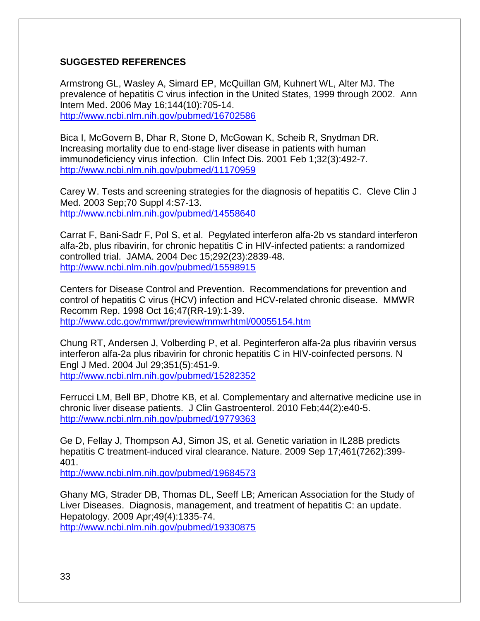#### **SUGGESTED REFERENCES**

Armstrong GL, Wasley A, Simard EP, McQuillan GM, Kuhnert WL, Alter MJ. The prevalence of hepatitis C virus infection in the United States, 1999 through 2002. Ann Intern Med. 2006 May 16;144(10):705-14. <http://www.ncbi.nlm.nih.gov/pubmed/16702586>

Bica I, McGovern B, Dhar R, Stone D, McGowan K, Scheib R, Snydman DR. Increasing mortality due to end-stage liver disease in patients with human immunodeficiency virus infection. Clin Infect Dis. 2001 Feb 1;32(3):492-7. <http://www.ncbi.nlm.nih.gov/pubmed/11170959>

Carey W. Tests and screening strategies for the diagnosis of hepatitis C. Cleve Clin J Med. 2003 Sep;70 Suppl 4:S7-13. <http://www.ncbi.nlm.nih.gov/pubmed/14558640>

Carrat F, Bani-Sadr F, Pol S, et al. Pegylated interferon alfa-2b vs standard interferon alfa-2b, plus ribavirin, for chronic hepatitis C in HIV-infected patients: a randomized controlled trial. JAMA. 2004 Dec 15;292(23):2839-48. <http://www.ncbi.nlm.nih.gov/pubmed/15598915>

Centers for Disease Control and Prevention. Recommendations for prevention and control of hepatitis C virus (HCV) infection and HCV-related chronic disease. MMWR Recomm Rep. 1998 Oct 16;47(RR-19):1-39. <http://www.cdc.gov/mmwr/preview/mmwrhtml/00055154.htm>

Chung RT, Andersen J, Volberding P, et al. Peginterferon alfa-2a plus ribavirin versus interferon alfa-2a plus ribavirin for chronic hepatitis C in HIV-coinfected persons. N Engl J Med. 2004 Jul 29;351(5):451-9. <http://www.ncbi.nlm.nih.gov/pubmed/15282352>

Ferrucci LM, Bell BP, Dhotre KB, et al. Complementary and alternative medicine use in chronic liver disease patients. J Clin Gastroenterol. 2010 Feb;44(2):e40-5. <http://www.ncbi.nlm.nih.gov/pubmed/19779363>

Ge D, Fellay J, Thompson AJ, Simon JS, et al. Genetic variation in IL28B predicts hepatitis C treatment-induced viral clearance. Nature. 2009 Sep 17;461(7262):399- 401.

<http://www.ncbi.nlm.nih.gov/pubmed/19684573>

Ghany MG, Strader DB, Thomas DL, Seeff LB; American Association for the Study of Liver Diseases. Diagnosis, management, and treatment of hepatitis C: an update. Hepatology. 2009 Apr;49(4):1335-74. <http://www.ncbi.nlm.nih.gov/pubmed/19330875>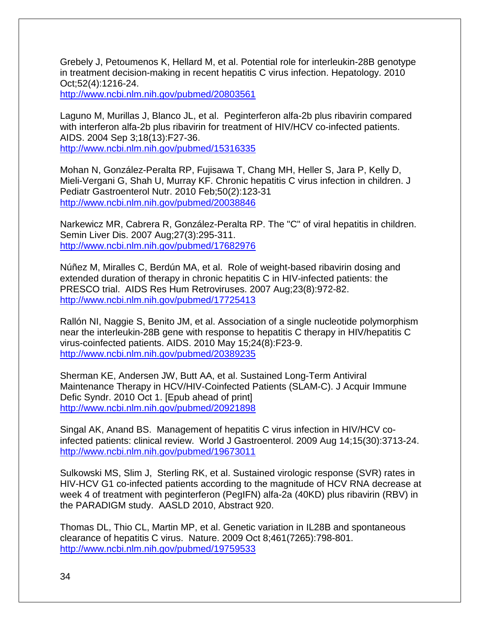Grebely J, Petoumenos K, Hellard M, et al. Potential role for interleukin-28B genotype in treatment decision-making in recent hepatitis C virus infection. Hepatology. 2010 Oct;52(4):1216-24.

<http://www.ncbi.nlm.nih.gov/pubmed/20803561>

Laguno M, Murillas J, Blanco JL, et al. Peginterferon alfa-2b plus ribavirin compared with interferon alfa-2b plus ribavirin for treatment of HIV/HCV co-infected patients. AIDS. 2004 Sep 3;18(13):F27-36. <http://www.ncbi.nlm.nih.gov/pubmed/15316335>

Mohan N, González-Peralta RP, Fujisawa T, Chang MH, Heller S, Jara P, Kelly D, Mieli-Vergani G, Shah U, Murray KF. Chronic hepatitis C virus infection in children. J Pediatr Gastroenterol Nutr. 2010 Feb;50(2):123-31 <http://www.ncbi.nlm.nih.gov/pubmed/20038846>

Narkewicz MR, Cabrera R, González-Peralta RP. The "C" of viral hepatitis in children. Semin Liver Dis. 2007 Aug;27(3):295-311. <http://www.ncbi.nlm.nih.gov/pubmed/17682976>

Núñez M, Miralles C, Berdún MA, et al. Role of weight-based ribavirin dosing and extended duration of therapy in chronic hepatitis C in HIV-infected patients: the PRESCO trial. AIDS Res Hum Retroviruses. 2007 Aug;23(8):972-82. <http://www.ncbi.nlm.nih.gov/pubmed/17725413>

Rallón NI, Naggie S, Benito JM, et al. Association of a single nucleotide polymorphism near the interleukin-28B gene with response to hepatitis C therapy in HIV/hepatitis C virus-coinfected patients. AIDS. 2010 May 15;24(8):F23-9. <http://www.ncbi.nlm.nih.gov/pubmed/20389235>

[Sherman KE,](http://www.ncbi.nlm.nih.gov/pubmed?term=%22Sherman%20KE%22%5BAuthor%5D) [Andersen JW,](http://www.ncbi.nlm.nih.gov/pubmed?term=%22Andersen%20JW%22%5BAuthor%5D) [Butt AA,](http://www.ncbi.nlm.nih.gov/pubmed?term=%22Butt%20AA%22%5BAuthor%5D) et al. Sustained Long-Term Antiviral Maintenance Therapy in HCV/HIV-Coinfected Patients (SLAM-C). [J Acquir Immune](javascript:AL_get(this,%20)  [Defic Syndr.](javascript:AL_get(this,%20) 2010 Oct 1. [Epub ahead of print] <http://www.ncbi.nlm.nih.gov/pubmed/20921898>

Singal AK, Anand BS. Management of hepatitis C virus infection in HIV/HCV coinfected patients: clinical review. World J Gastroenterol. 2009 Aug 14;15(30):3713-24. <http://www.ncbi.nlm.nih.gov/pubmed/19673011>

Sulkowski MS, Slim J, Sterling RK, et al. Sustained virologic response (SVR) rates in HIV-HCV G1 co-infected patients according to the magnitude of HCV RNA decrease at week 4 of treatment with peginterferon (PegIFN) alfa-2a (40KD) plus ribavirin (RBV) in the PARADIGM study. AASLD 2010, Abstract 920.

Thomas DL, Thio CL, Martin MP, et al. Genetic variation in IL28B and spontaneous clearance of hepatitis C virus. Nature. 2009 Oct 8;461(7265):798-801. <http://www.ncbi.nlm.nih.gov/pubmed/19759533>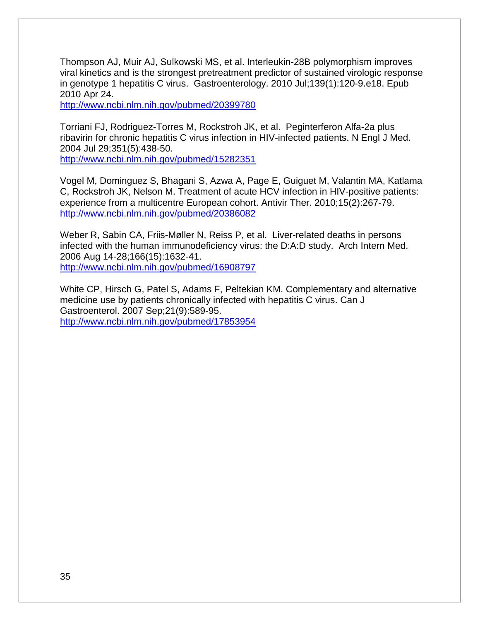Thompson AJ, Muir AJ, Sulkowski MS, et al. Interleukin-28B polymorphism improves viral kinetics and is the strongest pretreatment predictor of sustained virologic response in genotype 1 hepatitis C virus. Gastroenterology. 2010 Jul;139(1):120-9.e18. Epub 2010 Apr 24.

<http://www.ncbi.nlm.nih.gov/pubmed/20399780>

Torriani FJ, Rodriguez-Torres M, Rockstroh JK, et al. Peginterferon Alfa-2a plus ribavirin for chronic hepatitis C virus infection in HIV-infected patients. [N Engl J Med.](javascript:AL_get(this,%20) 2004 Jul 29;351(5):438-50.

<http://www.ncbi.nlm.nih.gov/pubmed/15282351>

Vogel M, Dominguez S, Bhagani S, Azwa A, Page E, Guiguet M, Valantin MA, Katlama C, Rockstroh JK, Nelson M. Treatment of acute HCV infection in HIV-positive patients: experience from a multicentre European cohort. Antivir Ther. 2010;15(2):267-79. <http://www.ncbi.nlm.nih.gov/pubmed/20386082>

Weber R, Sabin CA, Friis-Møller N, Reiss P, et al. Liver-related deaths in persons infected with the human immunodeficiency virus: the D:A:D study. Arch Intern Med. 2006 Aug 14-28;166(15):1632-41. <http://www.ncbi.nlm.nih.gov/pubmed/16908797>

White CP, Hirsch G, Patel S, Adams F, Peltekian KM. Complementary and alternative medicine use by patients chronically infected with hepatitis C virus. Can J Gastroenterol. 2007 Sep;21(9):589-95. <http://www.ncbi.nlm.nih.gov/pubmed/17853954>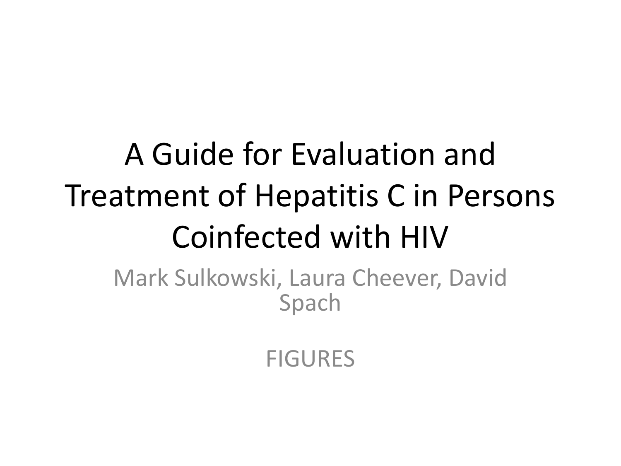# A Guide for Evaluation and Treatment of Hepatitis C in Persons Coinfected with HIV

Mark Sulkowski, Laura Cheever, David Spach

**FIGURES**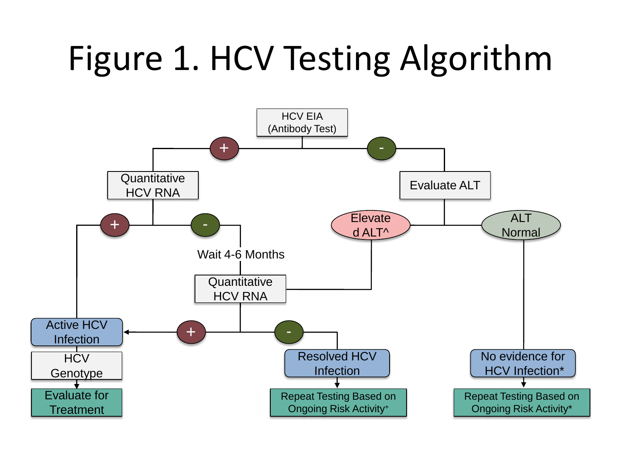# Figure 1. HCV Testing Algorithm

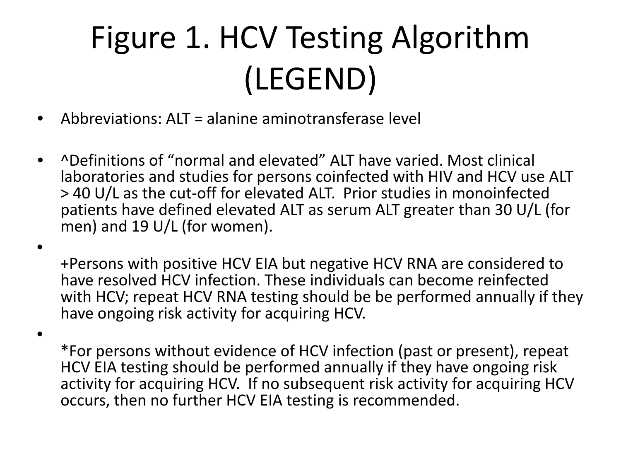## Figure 1. HCV Testing Algorithm (LEGEND)

• Abbreviations: ALT = alanine aminotransferase level

•

•

• ^Definitions of "normal and elevated" ALT have varied. Most clinical laboratories and studies for persons coinfected with HIV and HCV use ALT > 40 U/L as the cut-off for elevated ALT. Prior studies in monoinfected patients have defined elevated ALT as serum ALT greater than 30 U/L (for men) and 19 U/L (for women).

+Persons with positive HCV EIA but negative HCV RNA are considered to have resolved HCV infection. These individuals can become reinfected with HCV; repeat HCV RNA testing should be be performed annually if they have ongoing risk activity for acquiring HCV.

\*For persons without evidence of HCV infection (past or present), repeat HCV EIA testing should be performed annually if they have ongoing risk activity for acquiring HCV. If no subsequent risk activity for acquiring HCV occurs, then no further HCV EIA testing is recommended.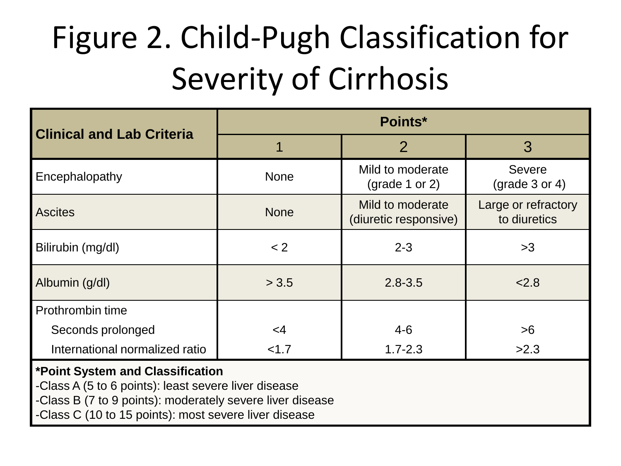## Figure 2. Child-Pugh Classification for Severity of Cirrhosis

| <b>Clinical and Lab Criteria</b> | Points*     |                                                  |                                               |  |  |  |  |
|----------------------------------|-------------|--------------------------------------------------|-----------------------------------------------|--|--|--|--|
|                                  |             | $\overline{2}$                                   | 3                                             |  |  |  |  |
| Encephalopathy                   | <b>None</b> | Mild to moderate<br>$\frac{1}{2}$ (grade 1 or 2) | <b>Severe</b><br>$\frac{1}{2}$ (grade 3 or 4) |  |  |  |  |
| <b>Ascites</b>                   | <b>None</b> | Mild to moderate<br>(diuretic responsive)        | Large or refractory<br>to diuretics           |  |  |  |  |
| Bilirubin (mg/dl)                | < 2         | $2 - 3$                                          | >3                                            |  |  |  |  |
| Albumin (g/dl)                   | > 3.5       | $2.8 - 3.5$                                      | 2.8                                           |  |  |  |  |
| Prothrombin time                 |             |                                                  |                                               |  |  |  |  |
| Seconds prolonged                | $\leq$ 4    | $4 - 6$                                          | >6                                            |  |  |  |  |
| International normalized ratio   | < 1.7       | $1.7 - 2.3$                                      | >2.3                                          |  |  |  |  |

#### **\*Point System and Classification**

-Class A (5 to 6 points): least severe liver disease

-Class B (7 to 9 points): moderately severe liver disease

-Class C (10 to 15 points): most severe liver disease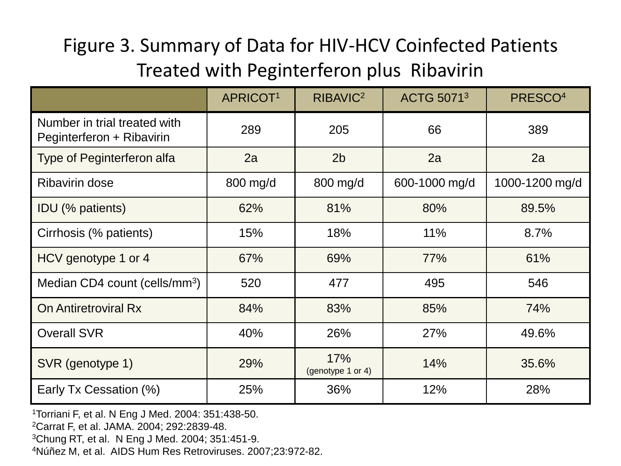### Figure 3. Summary of Data for HIV-HCV Coinfected Patients Treated with Peginterferon plus Ribavirin

|                                                           | <b>APRICOT1</b> | RIBAVIC <sup>2</sup>     | <b>ACTG 50713</b> | PRESCO <sup>4</sup> |
|-----------------------------------------------------------|-----------------|--------------------------|-------------------|---------------------|
| Number in trial treated with<br>Peginterferon + Ribavirin | 289             | 205                      | 66                | 389                 |
| <b>Type of Peginterferon alfa</b>                         | 2a              | 2 <sub>b</sub>           | 2a                | 2a                  |
| <b>Ribavirin dose</b>                                     | 800 mg/d        | 800 mg/d                 | 600-1000 mg/d     | 1000-1200 mg/d      |
| IDU (% patients)                                          | 62%             | 81%                      | 80%               | 89.5%               |
| Cirrhosis (% patients)                                    | 15%             | 18%                      | 11%               | 8.7%                |
| HCV genotype 1 or 4                                       | 67%             | 69%                      | 77%               | 61%                 |
| Median CD4 count (cells/mm <sup>3</sup> )                 | 520             | 477                      | 495               | 546                 |
| On Antiretroviral Rx                                      | 84%             | 83%                      | 85%               | 74%                 |
| <b>Overall SVR</b>                                        | 40%             | 26%                      | 27%               | 49.6%               |
| SVR (genotype 1)                                          | 29%             | 17%<br>(genotype 1 or 4) | 14%               | 35.6%               |
| Early Tx Cessation (%)                                    | 25%             | 36%                      | 12%               | 28%                 |

1Torriani F, et al. N Eng J Med. 2004: 351:438-50.

2Carrat F, et al. JAMA. 2004; 292:2839-48.

3Chung RT, et al. N Eng J Med. 2004; 351:451-9.

4Núñez M, et al. AIDS Hum Res Retroviruses. 2007;23:972-82.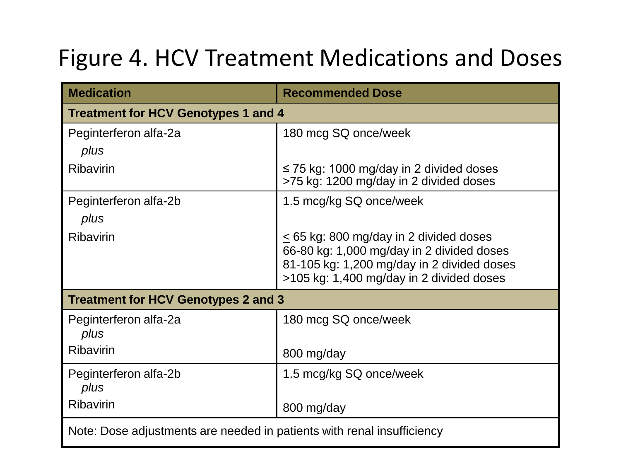### Figure 4. HCV Treatment Medications and Doses

| <b>Medication</b>                                                      | <b>Recommended Dose</b>                                                                 |  |  |  |  |
|------------------------------------------------------------------------|-----------------------------------------------------------------------------------------|--|--|--|--|
| <b>Treatment for HCV Genotypes 1 and 4</b>                             |                                                                                         |  |  |  |  |
| Peginterferon alfa-2a                                                  | 180 mcg SQ once/week                                                                    |  |  |  |  |
| plus                                                                   |                                                                                         |  |  |  |  |
| <b>Ribavirin</b>                                                       | $\leq$ 75 kg: 1000 mg/day in 2 divided doses<br>>75 kg: 1200 mg/day in 2 divided doses  |  |  |  |  |
| Peginterferon alfa-2b                                                  | 1.5 mcg/kg SQ once/week                                                                 |  |  |  |  |
| plus                                                                   |                                                                                         |  |  |  |  |
| <b>Ribavirin</b>                                                       | $\leq$ 65 kg: 800 mg/day in 2 divided doses                                             |  |  |  |  |
|                                                                        | 66-80 kg: 1,000 mg/day in 2 divided doses<br>81-105 kg: 1,200 mg/day in 2 divided doses |  |  |  |  |
|                                                                        | >105 kg: 1,400 mg/day in 2 divided doses                                                |  |  |  |  |
| Treatment for HCV Genotypes 2 and 3                                    |                                                                                         |  |  |  |  |
| Peginterferon alfa-2a<br>plus                                          | 180 mcg SQ once/week                                                                    |  |  |  |  |
| <b>Ribavirin</b>                                                       |                                                                                         |  |  |  |  |
|                                                                        | 800 mg/day                                                                              |  |  |  |  |
| Peginterferon alfa-2b<br>plus                                          | 1.5 mcg/kg SQ once/week                                                                 |  |  |  |  |
| <b>Ribavirin</b>                                                       | 800 mg/day                                                                              |  |  |  |  |
| Note: Dose adjustments are needed in patients with renal insufficiency |                                                                                         |  |  |  |  |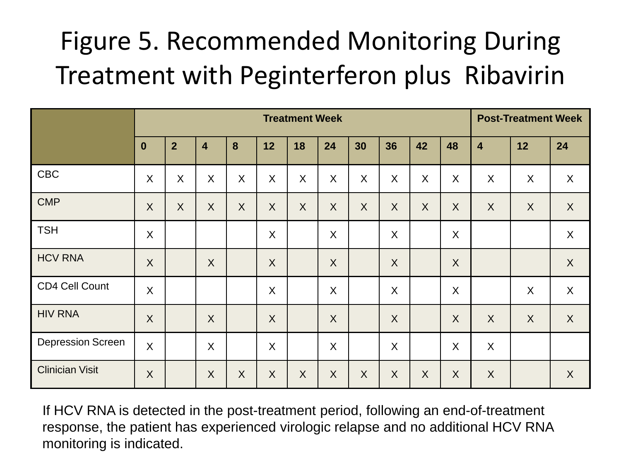### Figure 5. Recommended Monitoring During Treatment with Peginterferon plus Ribavirin

|                          | <b>Treatment Week</b> |                |                           |         |              |         |         | <b>Post-Treatment Week</b> |                           |              |         |                  |                           |         |
|--------------------------|-----------------------|----------------|---------------------------|---------|--------------|---------|---------|----------------------------|---------------------------|--------------|---------|------------------|---------------------------|---------|
|                          | $\mathbf 0$           | $\overline{2}$ | $\overline{\mathbf{4}}$   | 8       | 12           | 18      | 24      | 30                         | 36                        | 42           | 48      | $\overline{4}$   | 12                        | 24      |
| <b>CBC</b>               | $\sf X$               | X              | X                         | X       | X            | X       | $\sf X$ | X                          | X                         | X            | $\sf X$ | X                | X                         | X       |
| <b>CMP</b>               | $\sf X$               | $\sf X$        | $\sf X$                   | $\sf X$ | $\mathsf{X}$ | $\sf X$ | $\sf X$ | $\sf X$                    | $\mathsf{X}$              | $\mathsf{X}$ | $\sf X$ | $\boldsymbol{X}$ | $\boldsymbol{X}$          | X       |
| <b>TSH</b>               | X                     |                |                           |         | X            |         | $\sf X$ |                            | X                         |              | X       |                  |                           | $\sf X$ |
| <b>HCV RNA</b>           | $\sf X$               |                | $\boldsymbol{\mathsf{X}}$ |         | $\sf X$      |         | $\sf X$ |                            | $\boldsymbol{\mathsf{X}}$ |              | $\sf X$ |                  |                           | X       |
| CD4 Cell Count           | $\sf X$               |                |                           |         | $\sf X$      |         | X       |                            | X                         |              | X       |                  | $\boldsymbol{\mathsf{X}}$ | X       |
| <b>HIV RNA</b>           | $\sf X$               |                | $\sf X$                   |         | $\sf X$      |         | X       |                            | $\boldsymbol{\mathsf{X}}$ |              | $\sf X$ | X                | $\sf X$                   | X       |
| <b>Depression Screen</b> | $\sf X$               |                | $\sf X$                   |         | X            |         | X       |                            | X                         |              | $\sf X$ | X                |                           |         |
| <b>Clinician Visit</b>   | $\sf X$               |                | $\sf X$                   | $\sf X$ | $\sf X$      | $\sf X$ | X       | $\sf X$                    | X                         | $\sf X$      | X       | $\sf X$          |                           | X       |

If HCV RNA is detected in the post-treatment period, following an end-of-treatment response, the patient has experienced virologic relapse and no additional HCV RNA monitoring is indicated.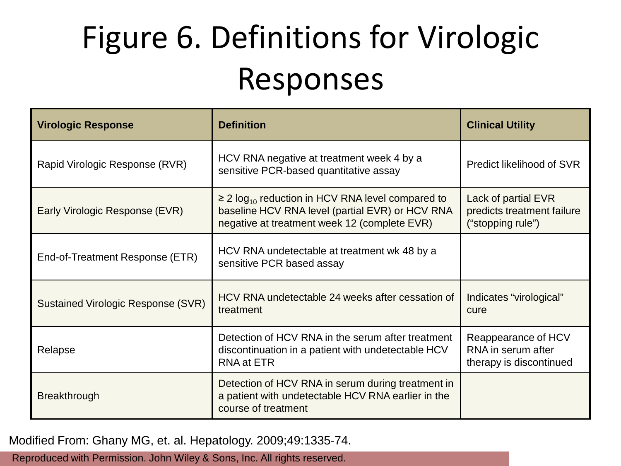## Figure 6. Definitions for Virologic Responses

| <b>Virologic Response</b>                 | <b>Definition</b>                                                                                                                                                    | <b>Clinical Utility</b>                                                |
|-------------------------------------------|----------------------------------------------------------------------------------------------------------------------------------------------------------------------|------------------------------------------------------------------------|
| Rapid Virologic Response (RVR)            | HCV RNA negative at treatment week 4 by a<br>sensitive PCR-based quantitative assay                                                                                  | Predict likelihood of SVR                                              |
| Early Virologic Response (EVR)            | $\geq$ 2 log <sub>10</sub> reduction in HCV RNA level compared to<br>baseline HCV RNA level (partial EVR) or HCV RNA<br>negative at treatment week 12 (complete EVR) | Lack of partial EVR<br>predicts treatment failure<br>("stopping rule") |
| End-of-Treatment Response (ETR)           | HCV RNA undetectable at treatment wk 48 by a<br>sensitive PCR based assay                                                                                            |                                                                        |
| <b>Sustained Virologic Response (SVR)</b> | HCV RNA undetectable 24 weeks after cessation of<br>treatment                                                                                                        | Indicates "virological"<br>cure                                        |
| Relapse                                   | Detection of HCV RNA in the serum after treatment<br>discontinuation in a patient with undetectable HCV<br><b>RNA</b> at ETR                                         | Reappearance of HCV<br>RNA in serum after<br>therapy is discontinued   |
| <b>Breakthrough</b>                       | Detection of HCV RNA in serum during treatment in<br>a patient with undetectable HCV RNA earlier in the<br>course of treatment                                       |                                                                        |

Modified From: Ghany MG, et. al. Hepatology. 2009;49:1335-74.

Reproduced with Permission. John Wiley & Sons, Inc. All rights reserved.